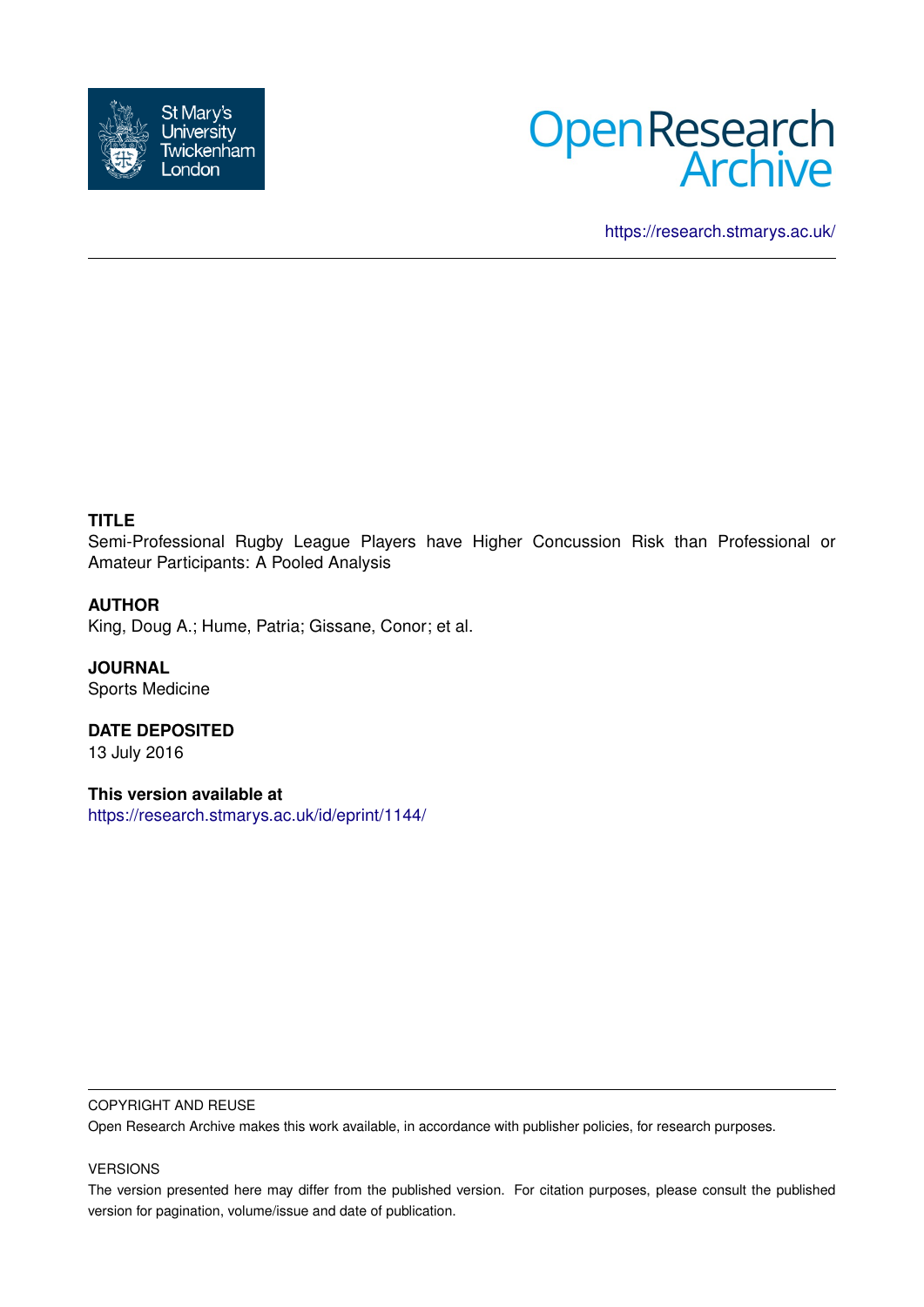



<https://research.stmarys.ac.uk/>

## **TITLE**

Semi-Professional Rugby League Players have Higher Concussion Risk than Professional or Amateur Participants: A Pooled Analysis

## **AUTHOR**

King, Doug A.; Hume, Patria; Gissane, Conor; et al.

**JOURNAL** Sports Medicine

**DATE DEPOSITED** 13 July 2016

**This version available at** <https://research.stmarys.ac.uk/id/eprint/1144/>

#### COPYRIGHT AND REUSE

Open Research Archive makes this work available, in accordance with publisher policies, for research purposes.

#### VERSIONS

The version presented here may differ from the published version. For citation purposes, please consult the published version for pagination, volume/issue and date of publication.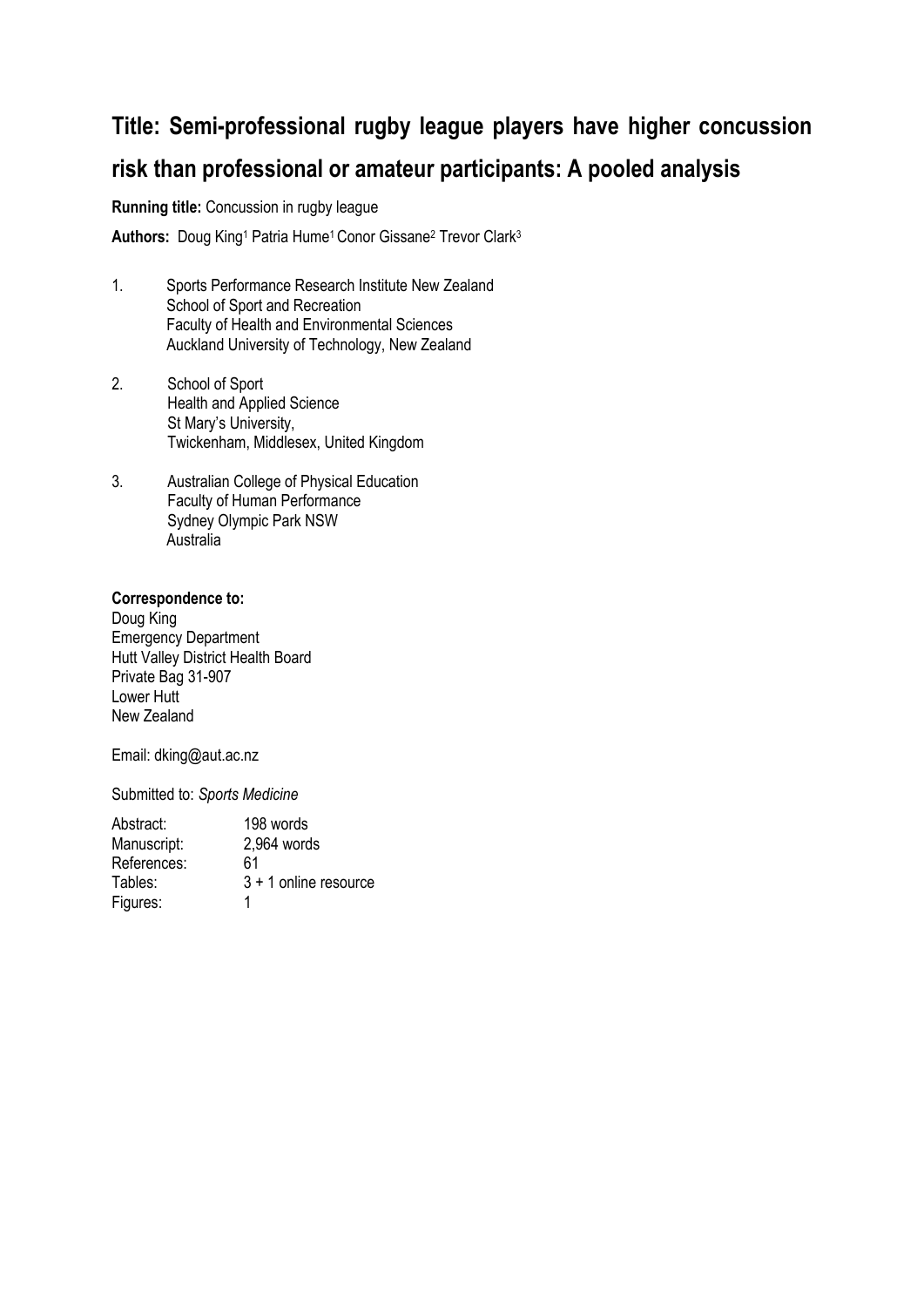## **Title: Semi-professional rugby league players have higher concussion risk than professional or amateur participants: A pooled analysis**

**Running title:** Concussion in rugby league

Authors: Doug King<sup>1</sup> Patria Hume<sup>1</sup> Conor Gissane<sup>2</sup> Trevor Clark<sup>3</sup>

- 1. Sports Performance Research Institute New Zealand School of Sport and Recreation Faculty of Health and Environmental Sciences Auckland University of Technology, New Zealand
- 2. School of Sport Health and Applied Science St Mary's University, Twickenham, Middlesex, United Kingdom
- 3. Australian College of Physical Education Faculty of Human Performance Sydney Olympic Park NSW Australia

## **Correspondence to:**

Doug King Emergency Department Hutt Valley District Health Board Private Bag 31-907 Lower Hutt New Zealand

Email: dking@aut.ac.nz

Submitted to: *Sports Medicine*

| 198 words               |
|-------------------------|
| 2,964 words             |
| 61                      |
| $3 + 1$ online resource |
| 1                       |
|                         |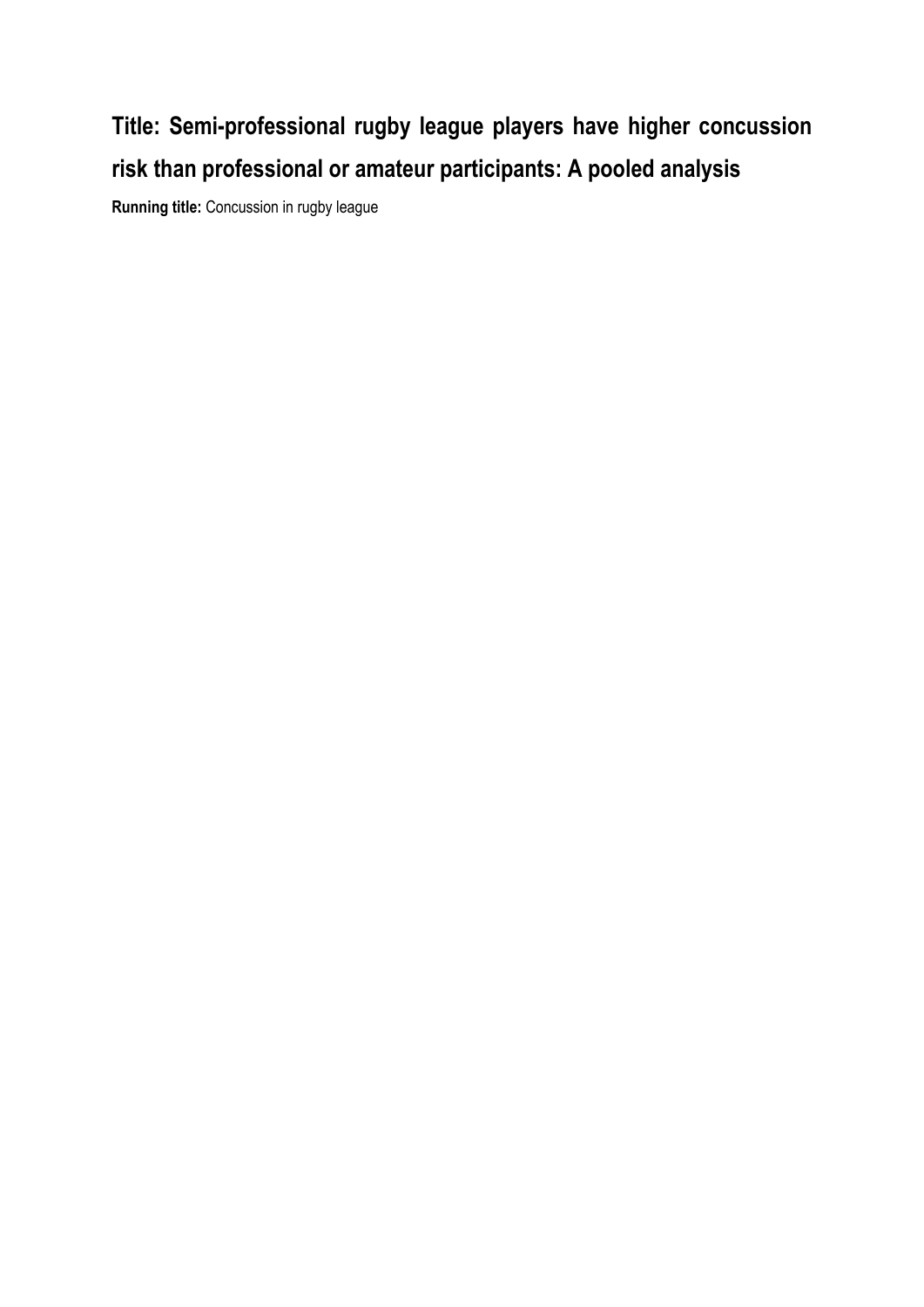# **Title: Semi-professional rugby league players have higher concussion risk than professional or amateur participants: A pooled analysis**

**Running title:** Concussion in rugby league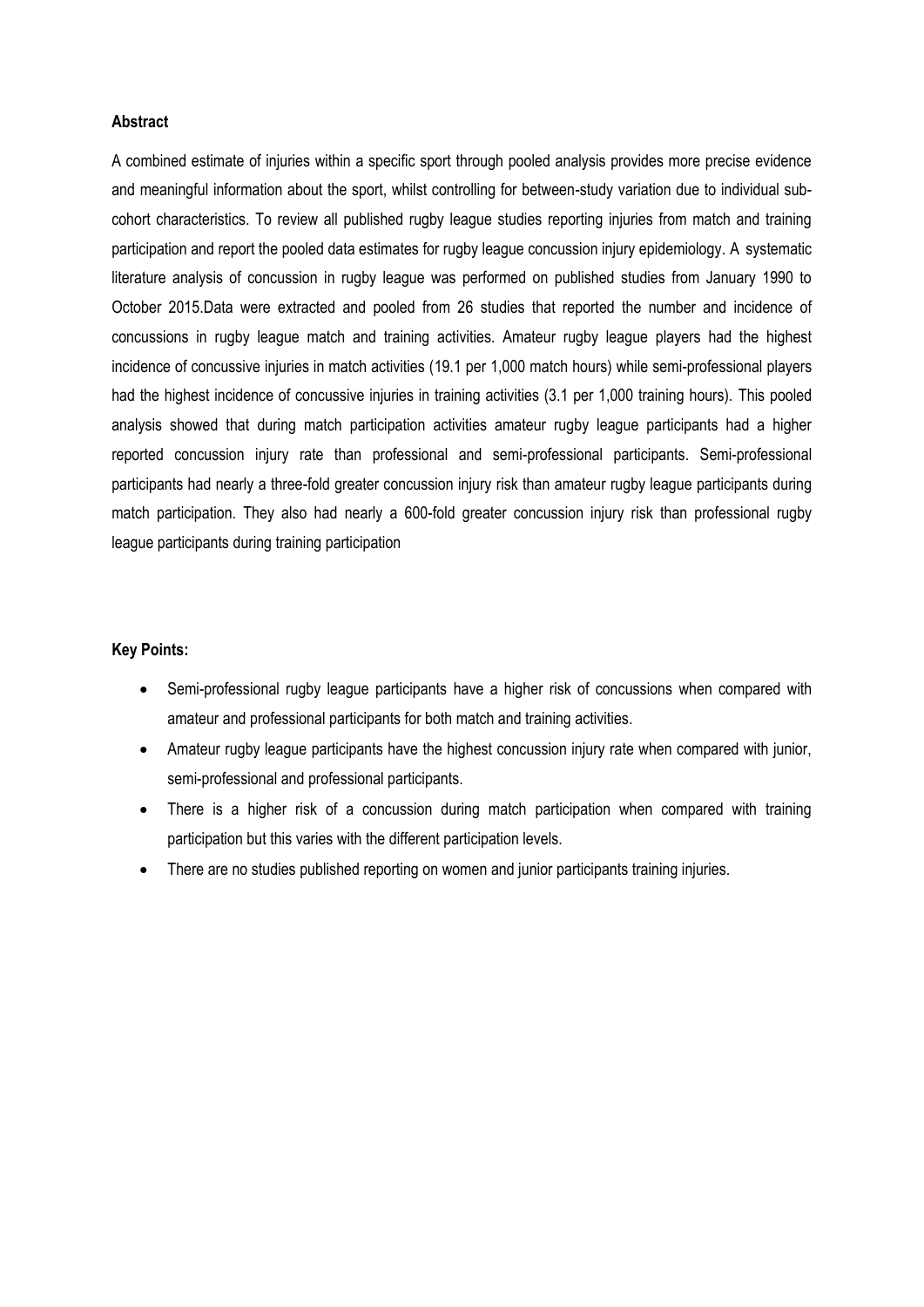#### **Abstract**

A combined estimate of injuries within a specific sport through pooled analysis provides more precise evidence and meaningful information about the sport, whilst controlling for between-study variation due to individual subcohort characteristics. To review all published rugby league studies reporting injuries from match and training participation and report the pooled data estimates for rugby league concussion injury epidemiology. A systematic literature analysis of concussion in rugby league was performed on published studies from January 1990 to October 2015.Data were extracted and pooled from 26 studies that reported the number and incidence of concussions in rugby league match and training activities. Amateur rugby league players had the highest incidence of concussive injuries in match activities (19.1 per 1,000 match hours) while semi-professional players had the highest incidence of concussive injuries in training activities (3.1 per 1,000 training hours). This pooled analysis showed that during match participation activities amateur rugby league participants had a higher reported concussion injury rate than professional and semi-professional participants. Semi-professional participants had nearly a three-fold greater concussion injury risk than amateur rugby league participants during match participation. They also had nearly a 600-fold greater concussion injury risk than professional rugby league participants during training participation

#### **Key Points:**

- Semi-professional rugby league participants have a higher risk of concussions when compared with amateur and professional participants for both match and training activities.
- Amateur rugby league participants have the highest concussion injury rate when compared with junior, semi-professional and professional participants.
- There is a higher risk of a concussion during match participation when compared with training participation but this varies with the different participation levels.
- There are no studies published reporting on women and junior participants training injuries.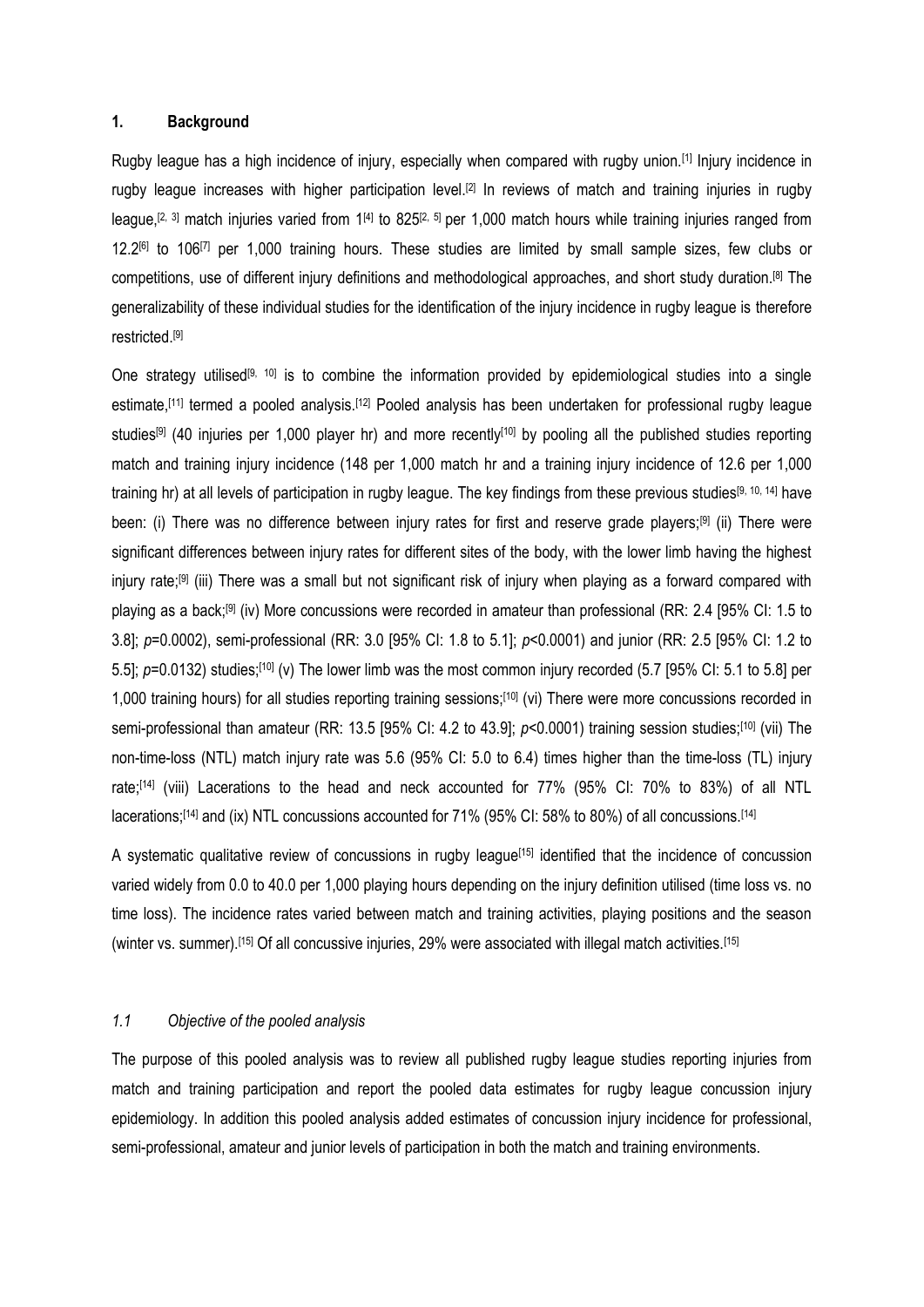#### **1. Background**

Rugby league has a high incidence of injury, especially when compared with rugby union.[\[1\]](#page-12-0) Injury incidence in rugby league increases with higher participation level.<sup>[\[2\]](#page-12-1)</sup> In reviews of match and training injuries in rugby league,<sup>[\[2,](#page-12-1) [3\]](#page-12-2)</sup> match injuries varied from 1<sup>[\[4\]](#page-12-3)</sup> to 825<sup>[2, [5\]](#page-12-4)</sup> per 1,000 match hours while training injuries ranged from 12.2<sup>[\[6\]](#page-12-5)</sup> to 106<sup>[\[7\]](#page-12-6)</sup> per 1,000 training hours. These studies are limited by small sample sizes, few clubs or competitions, use of different injury definitions and methodological approaches, and short study duration.[\[8\]](#page-12-7) The generalizability of these individual studies for the identification of the injury incidence in rugby league is therefore restricted. [\[9\]](#page-12-8)

One strategy utilised<sup>[\[9,](#page-12-8) [10\]](#page-12-9)</sup> is to combine the information provided by epidemiological studies into a single estimate,<sup>[\[11\]](#page-12-10)</sup> termed a pooled analysis.<sup>[\[12\]](#page-12-11)</sup> Pooled analysis has been undertaken for professional rugby league studies<sup>[\[9\]](#page-12-8)</sup> (40 injuries per 1,000 player hr) and more recently<sup>[\[10\]](#page-12-9)</sup> by pooling all the published studies reporting match and training injury incidence (148 per 1,000 match hr and a training injury incidence of 12.6 per 1,000 training hr) at all levels of participation in rugby league. The key findings from these previous studies[\[9,](#page-12-8) [10,](#page-12-9) [14\]](#page-12-12) have been: (i) There was no difference between injury rates for first and reserve grade players;<sup>[\[9\]](#page-12-8)</sup> (ii) There were significant differences between injury rates for different sites of the body, with the lower limb having the highest injury rate;<sup>[\[9\]](#page-12-8)</sup> (iii) There was a small but not significant risk of injury when playing as a forward compared with playing as a back;<sup>[\[9\]](#page-12-8)</sup> (iv) More concussions were recorded in amateur than professional (RR: 2.4 [95% CI: 1.5 to 3.8]; *p*=0.0002), semi-professional (RR: 3.0 [95% CI: 1.8 to 5.1]; *p*<0.0001) and junior (RR: 2.5 [95% CI: 1.2 to 5.5];  $p=0.0132$ ) studies;<sup>[\[10\]](#page-12-9)</sup> (v) The lower limb was the most common injury recorded (5.7 [95% CI: 5.1 to 5.8] per 1,000 training hours) for all studies reporting training sessions;<sup>[\[10\]](#page-12-9)</sup> (vi) There were more concussions recorded in semi-professional than amateur (RR: 13.5 [95% CI: 4.2 to 43.9]; *p*<0.0001) training session studies;<sup>[\[10\]](#page-12-9)</sup> (vii) The non-time-loss (NTL) match injury rate was 5.6 (95% CI: 5.0 to 6.4) times higher than the time-loss (TL) injury rate;<sup>[\[14\]](#page-12-12)</sup> (viii) Lacerations to the head and neck accounted for 77% (95% CI: 70% to 83%) of all NTL lacerations;<sup>[\[14\]](#page-12-12)</sup> and (ix) NTL concussions accounted for 71% (95% CI: 58% to 80%) of all concussions.<sup>[14]</sup>

A systematic qualitative review of concussions in rugby league<sup>[\[15\]](#page-12-13)</sup> identified that the incidence of concussion varied widely from 0.0 to 40.0 per 1,000 playing hours depending on the injury definition utilised (time loss vs. no time loss). The incidence rates varied between match and training activities, playing positions and the season (winter vs. summer).<sup>[\[15\]](#page-12-13)</sup> Of all concussive injuries, 29% were associated with illegal match activities.<sup>[15]</sup>

#### *1.1 Objective of the pooled analysis*

The purpose of this pooled analysis was to review all published rugby league studies reporting injuries from match and training participation and report the pooled data estimates for rugby league concussion injury epidemiology. In addition this pooled analysis added estimates of concussion injury incidence for professional, semi-professional, amateur and junior levels of participation in both the match and training environments.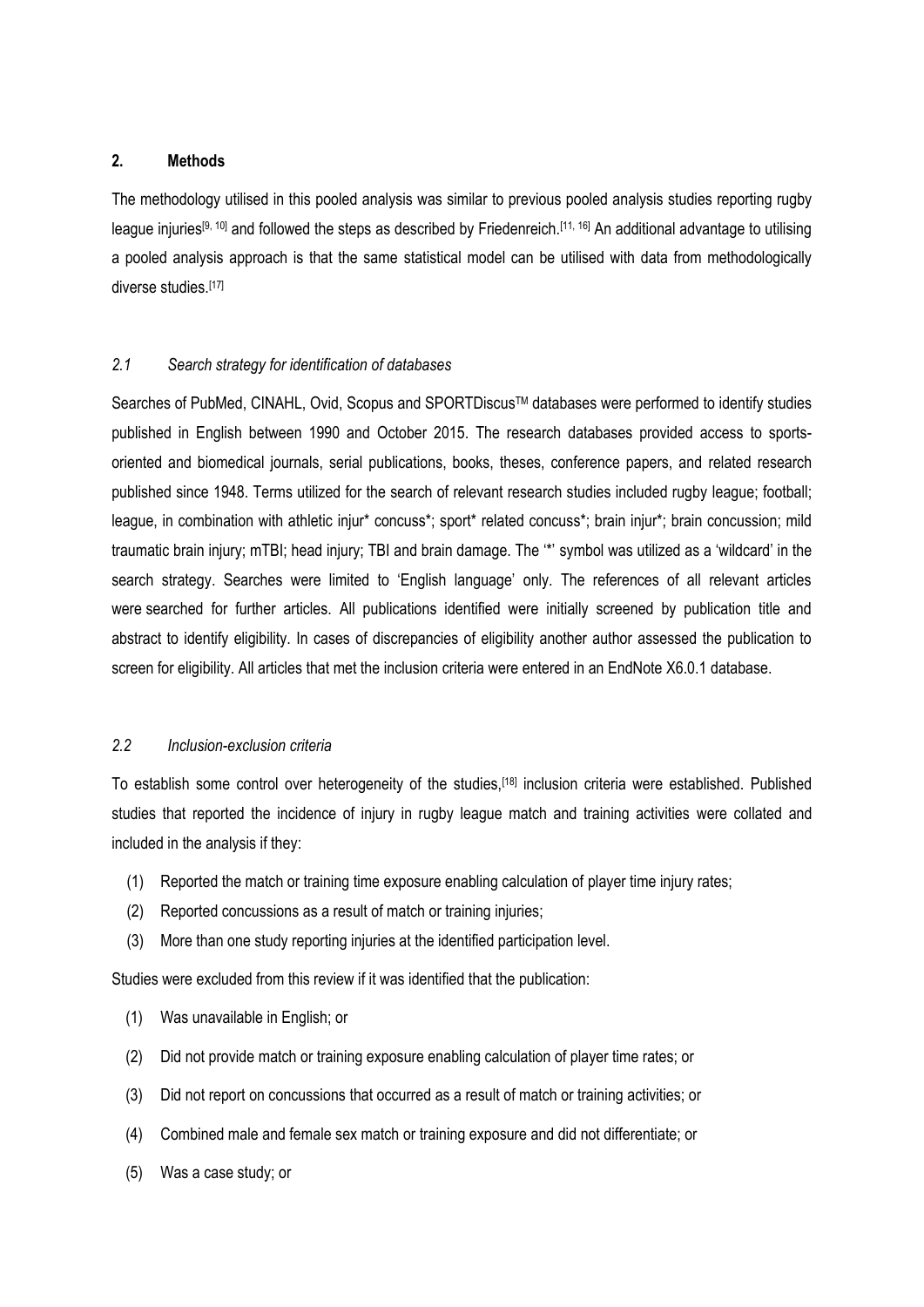## **2. Methods**

The methodology utilised in this pooled analysis was similar to previous pooled analysis studies reporting rugby league injuries<sup>[\[9,](#page-12-8) [10\]](#page-12-9)</sup> and followed the steps as described by Friedenreich.<sup>[\[11,](#page-12-10) [16\]](#page-12-14)</sup> An additional advantage to utilising a pooled analysis approach is that the same statistical model can be utilised with data from methodologically diverse studies.[\[17\]](#page-12-15)

## *2.1 Search strategy for identification of databases*

Searches of PubMed, CINAHL, Ovid, Scopus and SPORTDiscus™ databases were performed to identify studies published in English between 1990 and October 2015. The research databases provided access to sportsoriented and biomedical journals, serial publications, books, theses, conference papers, and related research published since 1948. Terms utilized for the search of relevant research studies included rugby league; football; league, in combination with athletic injur<sup>\*</sup> concuss<sup>\*</sup>; sport<sup>\*</sup> related concuss<sup>\*</sup>; brain injur<sup>\*</sup>; brain concussion; mild traumatic brain injury; mTBI; head injury; TBI and brain damage. The '\*' symbol was utilized as a 'wildcard' in the search strategy. Searches were limited to 'English language' only. The references of all relevant articles were searched for further articles. All publications identified were initially screened by publication title and abstract to identify eligibility. In cases of discrepancies of eligibility another author assessed the publication to screen for eligibility. All articles that met the inclusion criteria were entered in an EndNote X6.0.1 database.

## *2.2 Inclusion-exclusion criteria*

To establish some control over heterogeneity of the studies,<sup>[\[18\]](#page-13-0)</sup> inclusion criteria were established. Published studies that reported the incidence of injury in rugby league match and training activities were collated and included in the analysis if they:

- (1) Reported the match or training time exposure enabling calculation of player time injury rates;
- (2) Reported concussions as a result of match or training injuries;
- (3) More than one study reporting injuries at the identified participation level.

Studies were excluded from this review if it was identified that the publication:

- (1) Was unavailable in English; or
- (2) Did not provide match or training exposure enabling calculation of player time rates; or
- (3) Did not report on concussions that occurred as a result of match or training activities; or
- (4) Combined male and female sex match or training exposure and did not differentiate; or
- (5) Was a case study; or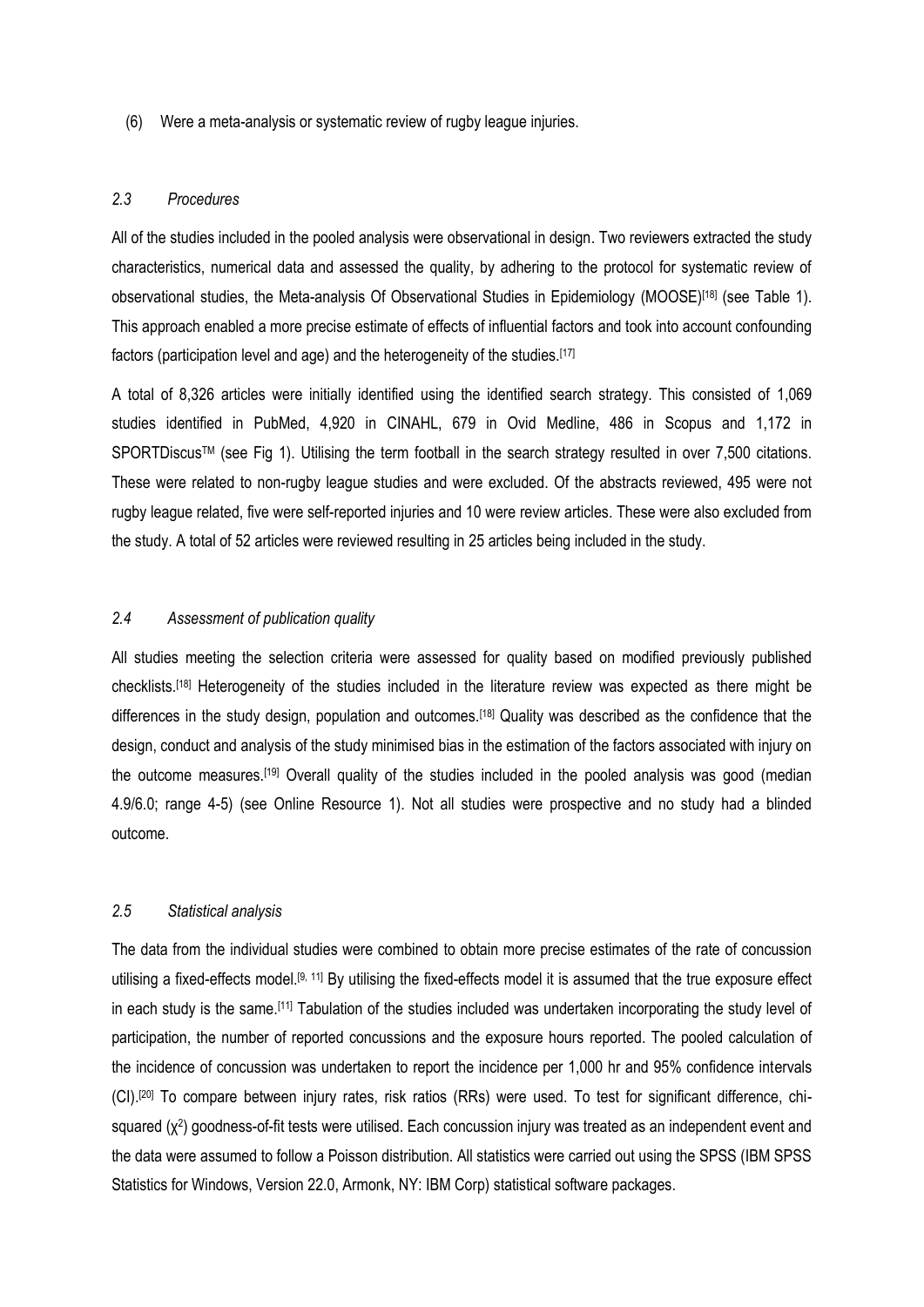(6) Were a meta-analysis or systematic review of rugby league injuries.

## *2.3 Procedures*

All of the studies included in the pooled analysis were observational in design. Two reviewers extracted the study characteristics, numerical data and assessed the quality, by adhering to the protocol for systematic review of observational studies, the Meta-analysis Of Observational Studies in Epidemiology (MOOSE)<sup>[\[18\]](#page-13-0)</sup> (see Table 1). This approach enabled a more precise estimate of effects of influential factors and took into account confounding factors (participation level and age) and the heterogeneity of the studies.[\[17\]](#page-12-15)

A total of 8,326 articles were initially identified using the identified search strategy. This consisted of 1,069 studies identified in PubMed, 4,920 in CINAHL, 679 in Ovid Medline, 486 in Scopus and 1,172 in SPORTDiscus™ (see Fig 1). Utilising the term football in the search strategy resulted in over 7,500 citations. These were related to non-rugby league studies and were excluded. Of the abstracts reviewed, 495 were not rugby league related, five were self-reported injuries and 10 were review articles. These were also excluded from the study. A total of 52 articles were reviewed resulting in 25 articles being included in the study.

#### *2.4 Assessment of publication quality*

All studies meeting the selection criteria were assessed for quality based on modified previously published checklists.[\[18\]](#page-13-0) Heterogeneity of the studies included in the literature review was expected as there might be differences in the study design, population and outcomes.<sup>[\[18\]](#page-13-0)</sup> Quality was described as the confidence that the design, conduct and analysis of the study minimised bias in the estimation of the factors associated with injury on the outcome measures.[\[19\]](#page-13-1) Overall quality of the studies included in the pooled analysis was good (median 4.9/6.0; range 4-5) (see Online Resource 1). Not all studies were prospective and no study had a blinded outcome.

#### *2.5 Statistical analysis*

The data from the individual studies were combined to obtain more precise estimates of the rate of concussion utilising a fixed-effects model.[\[9,](#page-12-8) [11\]](#page-12-10) By utilising the fixed-effects model it is assumed that the true exposure effect in each study is the same.[\[11\]](#page-12-10) Tabulation of the studies included was undertaken incorporating the study level of participation, the number of reported concussions and the exposure hours reported. The pooled calculation of the incidence of concussion was undertaken to report the incidence per 1,000 hr and 95% confidence intervals (CI).[\[20\]](#page-13-2) To compare between injury rates, risk ratios (RRs) were used. To test for significant difference, chisquared (χ<sup>2</sup>) goodness-of-fit tests were utilised. Each concussion injury was treated as an independent event and the data were assumed to follow a Poisson distribution. All statistics were carried out using the SPSS (IBM SPSS Statistics for Windows, Version 22.0, Armonk, NY: IBM Corp) statistical software packages.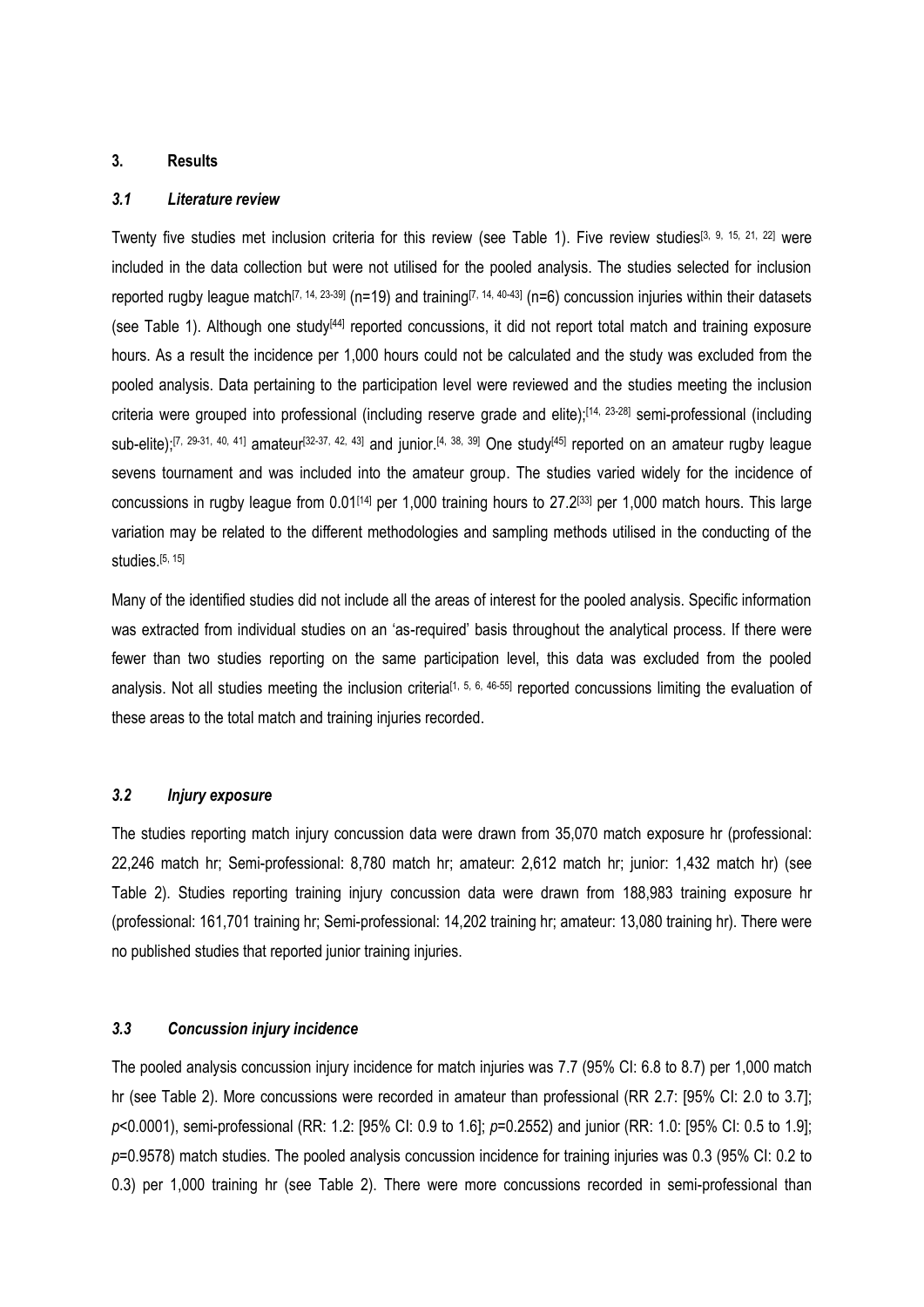#### **3. Results**

## *3.1 Literature review*

Twenty five studies met inclusion criteria for this review (see Table 1). Five review studies<sup>[\[3,](#page-12-2) [9,](#page-12-8) [15,](#page-12-13) [21,](#page-13-3) [22\]](#page-13-4)</sup> were included in the data collection but were not utilised for the pooled analysis. The studies selected for inclusion reported rugby league match<sup>[\[7,](#page-12-6) [14,](#page-12-12) [23-39\]](#page-13-5)</sup> (n=19) and training<sup>[7, 14, [40-43\]](#page-14-0)</sup> (n=6) concussion injuries within their datasets (see Table 1). Although one study<sup>[\[44\]](#page-14-1)</sup> reported concussions, it did not report total match and training exposure hours. As a result the incidence per 1,000 hours could not be calculated and the study was excluded from the pooled analysis. Data pertaining to the participation level were reviewed and the studies meeting the inclusion criteria were grouped into professional (including reserve grade and elite);[\[14,](#page-12-12) [23-28\]](#page-13-5) semi-professional (including sub-elite);<sup>[\[7,](#page-12-6) [29-31,](#page-13-6) [40,](#page-14-0) [41\]](#page-14-2)</sup> amateur<sup>[\[32-37,](#page-13-7) [42,](#page-14-3) [43\]](#page-14-4)</sup> and junior.<sup>[\[4,](#page-12-3) [38,](#page-14-5) [39\]](#page-14-6) One study<sup>[\[45\]](#page-14-7)</sup> reported on an amateur rugby league</sup> sevens tournament and was included into the amateur group. The studies varied widely for the incidence of concussions in rugby league from 0.01<sup>[\[14\]](#page-12-12)</sup> per 1,000 training hours to 27.2<sup>[\[33\]](#page-13-8)</sup> per 1,000 match hours. This large variation may be related to the different methodologies and sampling methods utilised in the conducting of the studies. $[5, 15]$  $[5, 15]$ 

Many of the identified studies did not include all the areas of interest for the pooled analysis. Specific information was extracted from individual studies on an 'as-required' basis throughout the analytical process. If there were fewer than two studies reporting on the same participation level, this data was excluded from the pooled analysis. Not all studies meeting the inclusion criteria<sup>[\[1,](#page-12-0) [5,](#page-12-4) [6,](#page-12-5) [46-55\]](#page-14-8)</sup> reported concussions limiting the evaluation of these areas to the total match and training injuries recorded.

## *3.2 Injury exposure*

The studies reporting match injury concussion data were drawn from 35,070 match exposure hr (professional: 22,246 match hr; Semi-professional: 8,780 match hr; amateur: 2,612 match hr; junior: 1,432 match hr) (see Table 2). Studies reporting training injury concussion data were drawn from 188,983 training exposure hr (professional: 161,701 training hr; Semi-professional: 14,202 training hr; amateur: 13,080 training hr). There were no published studies that reported junior training injuries.

#### *3.3 Concussion injury incidence*

The pooled analysis concussion injury incidence for match injuries was 7.7 (95% CI: 6.8 to 8.7) per 1,000 match hr (see Table 2). More concussions were recorded in amateur than professional (RR 2.7: [95% CI: 2.0 to 3.7]; *p*<0.0001), semi-professional (RR: 1.2: [95% CI: 0.9 to 1.6]; *p*=0.2552) and junior (RR: 1.0: [95% CI: 0.5 to 1.9]; *p*=0.9578) match studies. The pooled analysis concussion incidence for training injuries was 0.3 (95% CI: 0.2 to 0.3) per 1,000 training hr (see Table 2). There were more concussions recorded in semi-professional than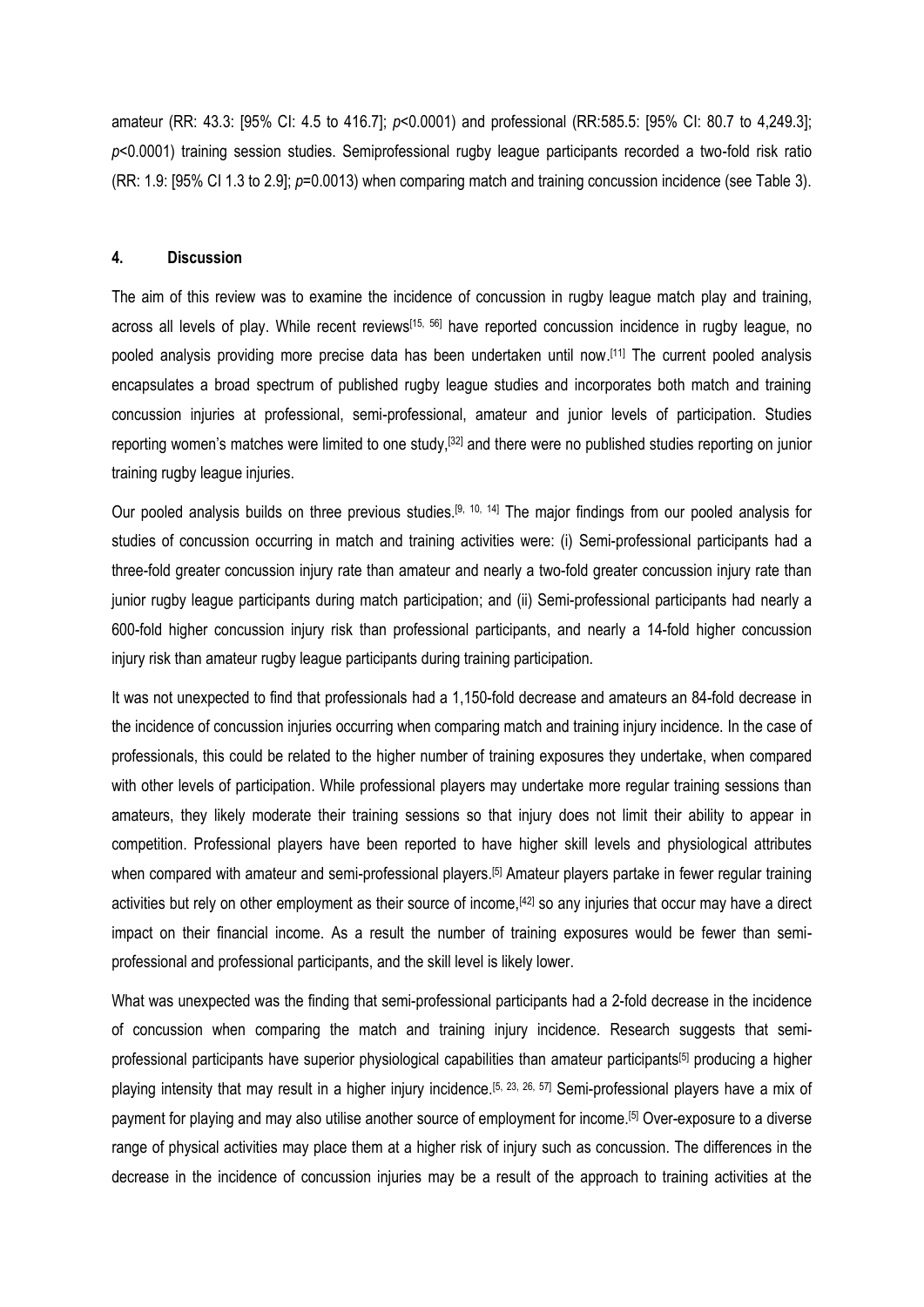amateur (RR: 43.3: [95% CI: 4.5 to 416.7]; *p*<0.0001) and professional (RR:585.5: [95% CI: 80.7 to 4,249.3]; *p*<0.0001) training session studies. Semiprofessional rugby league participants recorded a two-fold risk ratio (RR: 1.9: [95% CI 1.3 to 2.9]; *p*=0.0013) when comparing match and training concussion incidence (see Table 3).

#### **4. Discussion**

The aim of this review was to examine the incidence of concussion in rugby league match play and training, across all levels of play. While recent reviews<sup>[\[15,](#page-12-13) [56\]](#page-15-0)</sup> have reported concussion incidence in rugby league, no pooled analysis providing more precise data has been undertaken until now.<sup>[\[11\]](#page-12-10)</sup> The current pooled analysis encapsulates a broad spectrum of published rugby league studies and incorporates both match and training concussion injuries at professional, semi-professional, amateur and junior levels of participation. Studies reporting women's matches were limited to one study,[\[32\]](#page-13-7) and there were no published studies reporting on junior training rugby league injuries.

Our pooled analysis builds on three previous studies.<sup>[\[9,](#page-12-8) [10,](#page-12-9) [14\]](#page-12-12)</sup> The major findings from our pooled analysis for studies of concussion occurring in match and training activities were: (i) Semi-professional participants had a three-fold greater concussion injury rate than amateur and nearly a two-fold greater concussion injury rate than junior rugby league participants during match participation; and (ii) Semi-professional participants had nearly a 600-fold higher concussion injury risk than professional participants, and nearly a 14-fold higher concussion injury risk than amateur rugby league participants during training participation.

It was not unexpected to find that professionals had a 1,150-fold decrease and amateurs an 84-fold decrease in the incidence of concussion injuries occurring when comparing match and training injury incidence. In the case of professionals, this could be related to the higher number of training exposures they undertake, when compared with other levels of participation. While professional players may undertake more regular training sessions than amateurs, they likely moderate their training sessions so that injury does not limit their ability to appear in competition. Professional players have been reported to have higher skill levels and physiological attributes when compared with amateur and semi-professional players.<sup>[\[5\]](#page-12-4)</sup> Amateur players partake in fewer regular training activities but rely on other employment as their source of income, [\[42\]](#page-14-3) so any injuries that occur may have a direct impact on their financial income. As a result the number of training exposures would be fewer than semiprofessional and professional participants, and the skill level is likely lower.

What was unexpected was the finding that semi-professional participants had a 2-fold decrease in the incidence of concussion when comparing the match and training injury incidence. Research suggests that semiprofessional participants have superior physiological capabilities than amateur participants[\[5\]](#page-12-4) producing a higher playing intensity that may result in a higher injury incidence.<sup>[\[5,](#page-12-4) [23,](#page-13-5) [26,](#page-13-9) [57\]](#page-15-1)</sup> Semi-professional players have a mix of payment for playing and may also utilise another source of employment for income.[\[5\]](#page-12-4) Over-exposure to a diverse range of physical activities may place them at a higher risk of injury such as concussion. The differences in the decrease in the incidence of concussion injuries may be a result of the approach to training activities at the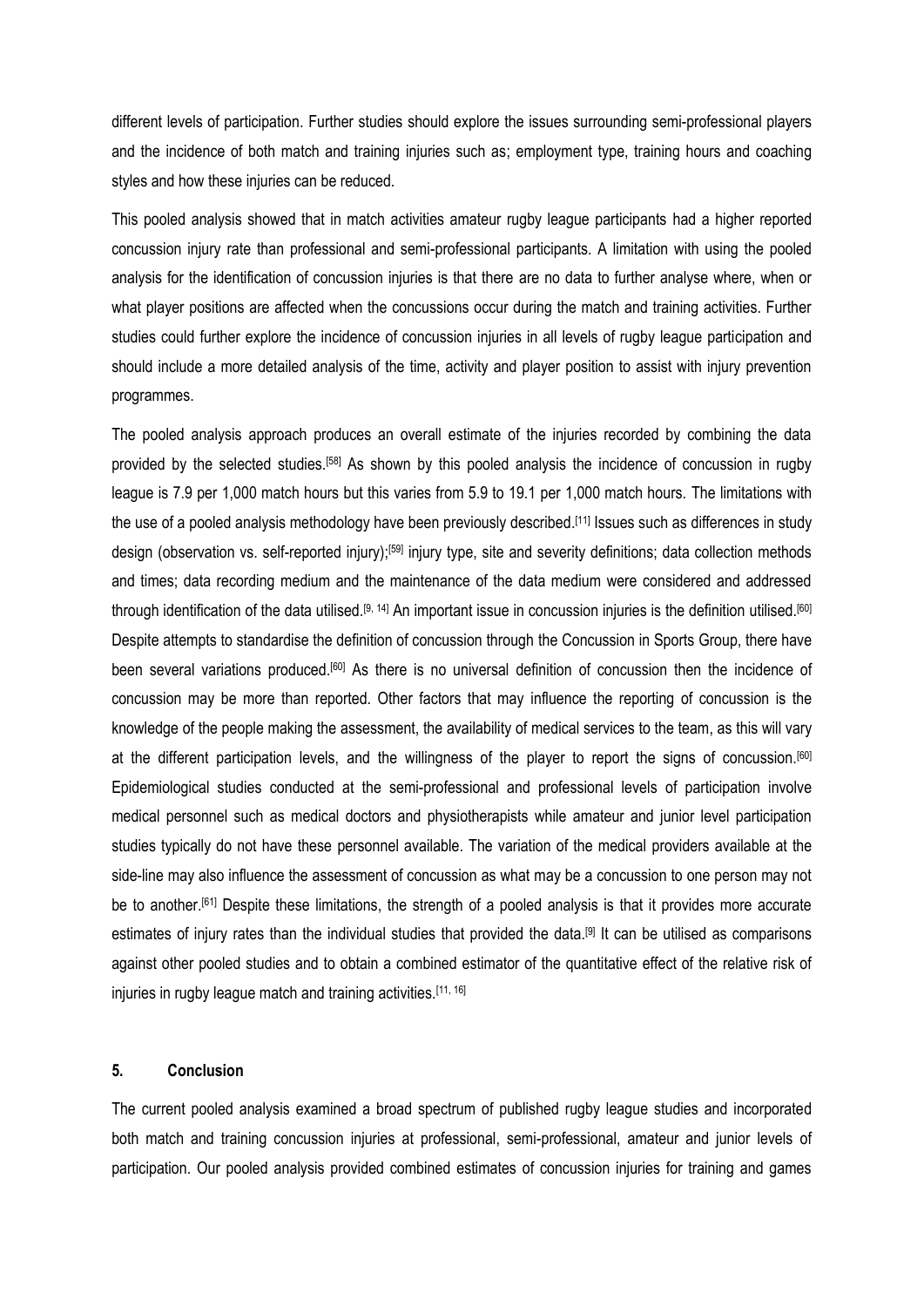different levels of participation. Further studies should explore the issues surrounding semi-professional players and the incidence of both match and training injuries such as; employment type, training hours and coaching styles and how these injuries can be reduced.

This pooled analysis showed that in match activities amateur rugby league participants had a higher reported concussion injury rate than professional and semi-professional participants. A limitation with using the pooled analysis for the identification of concussion injuries is that there are no data to further analyse where, when or what player positions are affected when the concussions occur during the match and training activities. Further studies could further explore the incidence of concussion injuries in all levels of rugby league participation and should include a more detailed analysis of the time, activity and player position to assist with injury prevention programmes.

The pooled analysis approach produces an overall estimate of the injuries recorded by combining the data provided by the selected studies.<sup>[\[58\]](#page-15-2)</sup> As shown by this pooled analysis the incidence of concussion in rugby league is 7.9 per 1,000 match hours but this varies from 5.9 to 19.1 per 1,000 match hours. The limitations with the use of a pooled analysis methodology have been previously described.<sup>[\[11\]](#page-12-10)</sup> Issues such as differences in study design (observation vs. self-reported injury);<sup>[\[59\]](#page-15-3)</sup> injury type, site and severity definitions; data collection methods and times; data recording medium and the maintenance of the data medium were considered and addressed through identification of the data utilised.<sup>[\[9,](#page-12-8) [14\]](#page-12-12)</sup> An important issue in concussion injuries is the definition utilised.<sup>[\[60\]](#page-15-4)</sup> Despite attempts to standardise the definition of concussion through the Concussion in Sports Group, there have been several variations produced.[\[60\]](#page-15-4) As there is no universal definition of concussion then the incidence of concussion may be more than reported. Other factors that may influence the reporting of concussion is the knowledge of the people making the assessment, the availability of medical services to the team, as this will vary at the different participation levels, and the willingness of the player to report the signs of concussion.[\[60\]](#page-15-4) Epidemiological studies conducted at the semi-professional and professional levels of participation involve medical personnel such as medical doctors and physiotherapists while amateur and junior level participation studies typically do not have these personnel available. The variation of the medical providers available at the side-line may also influence the assessment of concussion as what may be a concussion to one person may not be to another.<sup>[\[61\]](#page-15-5)</sup> Despite these limitations, the strength of a pooled analysis is that it provides more accurate estimates of injury rates than the individual studies that provided the data. [\[9\]](#page-12-8) It can be utilised as comparisons against other pooled studies and to obtain a combined estimator of the quantitative effect of the relative risk of injuries in rugby league match and training activities.<sup>[\[11,](#page-12-10) [16\]](#page-12-14)</sup>

## **5. Conclusion**

The current pooled analysis examined a broad spectrum of published rugby league studies and incorporated both match and training concussion injuries at professional, semi-professional, amateur and junior levels of participation. Our pooled analysis provided combined estimates of concussion injuries for training and games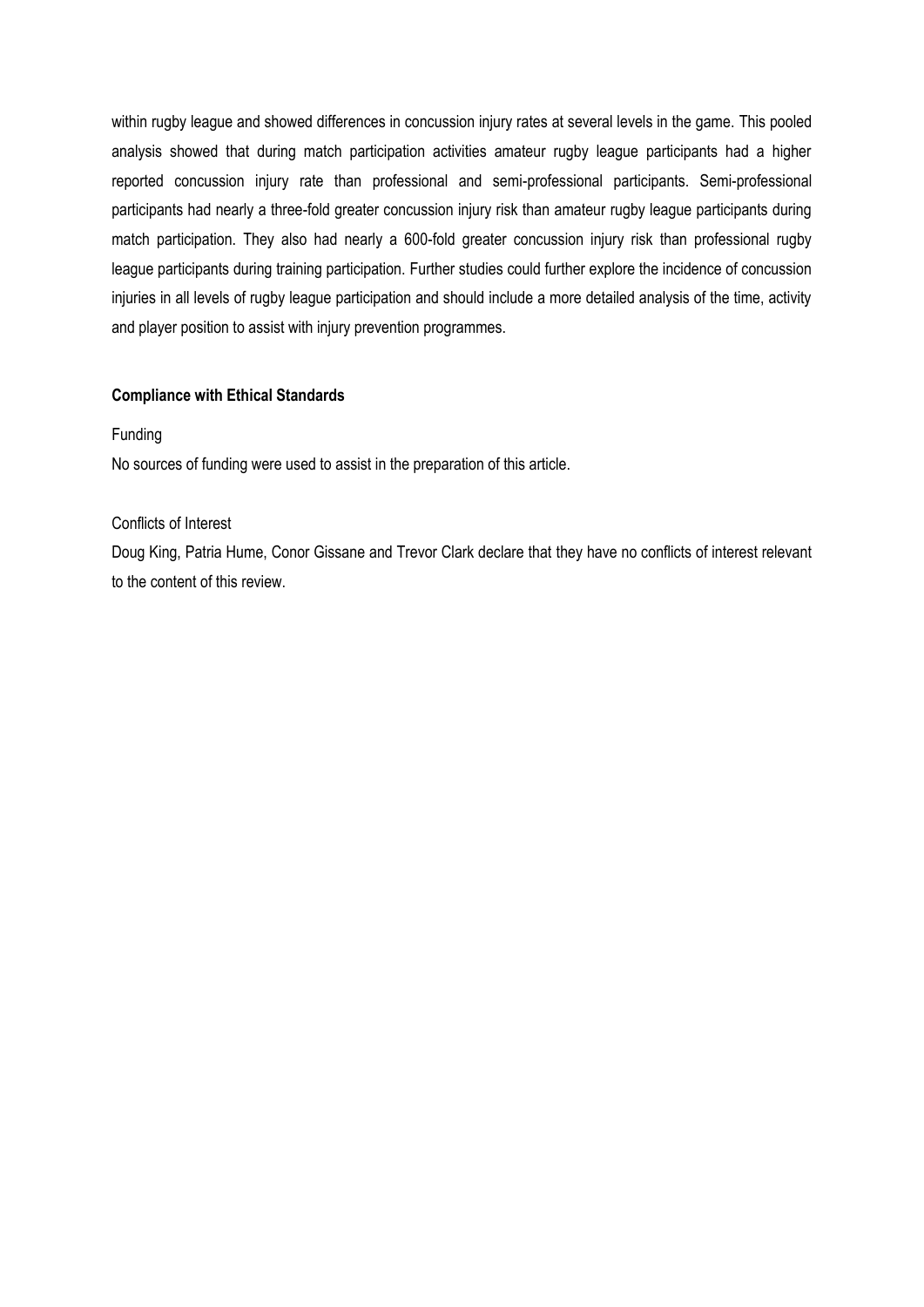within rugby league and showed differences in concussion injury rates at several levels in the game. This pooled analysis showed that during match participation activities amateur rugby league participants had a higher reported concussion injury rate than professional and semi-professional participants. Semi-professional participants had nearly a three-fold greater concussion injury risk than amateur rugby league participants during match participation. They also had nearly a 600-fold greater concussion injury risk than professional rugby league participants during training participation. Further studies could further explore the incidence of concussion injuries in all levels of rugby league participation and should include a more detailed analysis of the time, activity and player position to assist with injury prevention programmes.

## **Compliance with Ethical Standards**

#### Funding

No sources of funding were used to assist in the preparation of this article.

#### Conflicts of Interest

Doug King, Patria Hume, Conor Gissane and Trevor Clark declare that they have no conflicts of interest relevant to the content of this review.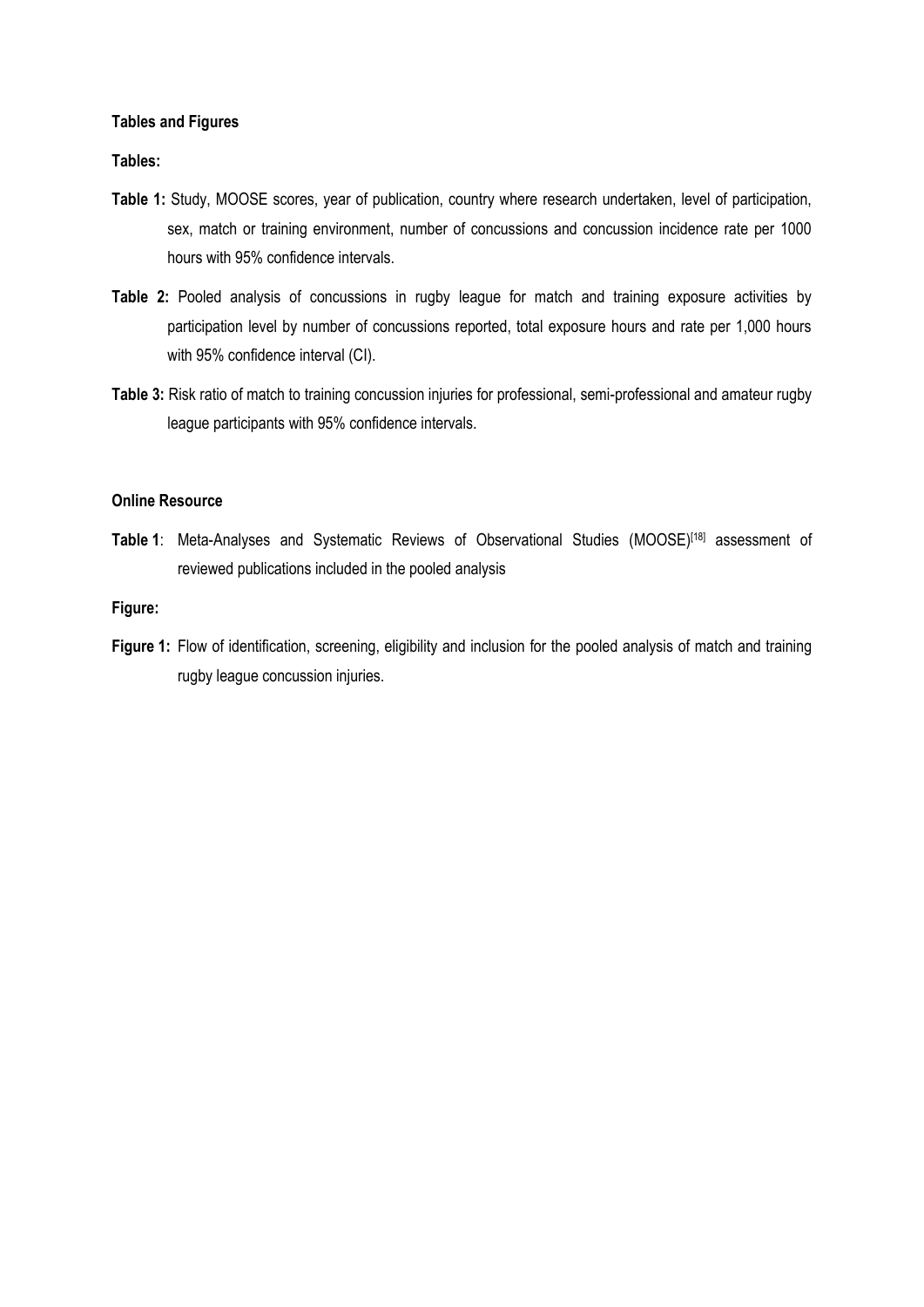#### **Tables and Figures**

**Tables:**

- **Table 1:** Study, MOOSE scores, year of publication, country where research undertaken, level of participation, sex, match or training environment, number of concussions and concussion incidence rate per 1000 hours with 95% confidence intervals.
- **Table 2:** Pooled analysis of concussions in rugby league for match and training exposure activities by participation level by number of concussions reported, total exposure hours and rate per 1,000 hours with 95% confidence interval (CI).
- **Table 3:** Risk ratio of match to training concussion injuries for professional, semi-professional and amateur rugby league participants with 95% confidence intervals.

#### **Online Resource**

Table 1: Meta-Analyses and Systematic Reviews of Observational Studies (MOOSE)<sup>[\[18\]](#page-13-0)</sup> assessment of reviewed publications included in the pooled analysis

## **Figure:**

Figure 1: Flow of identification, screening, eligibility and inclusion for the pooled analysis of match and training rugby league concussion injuries.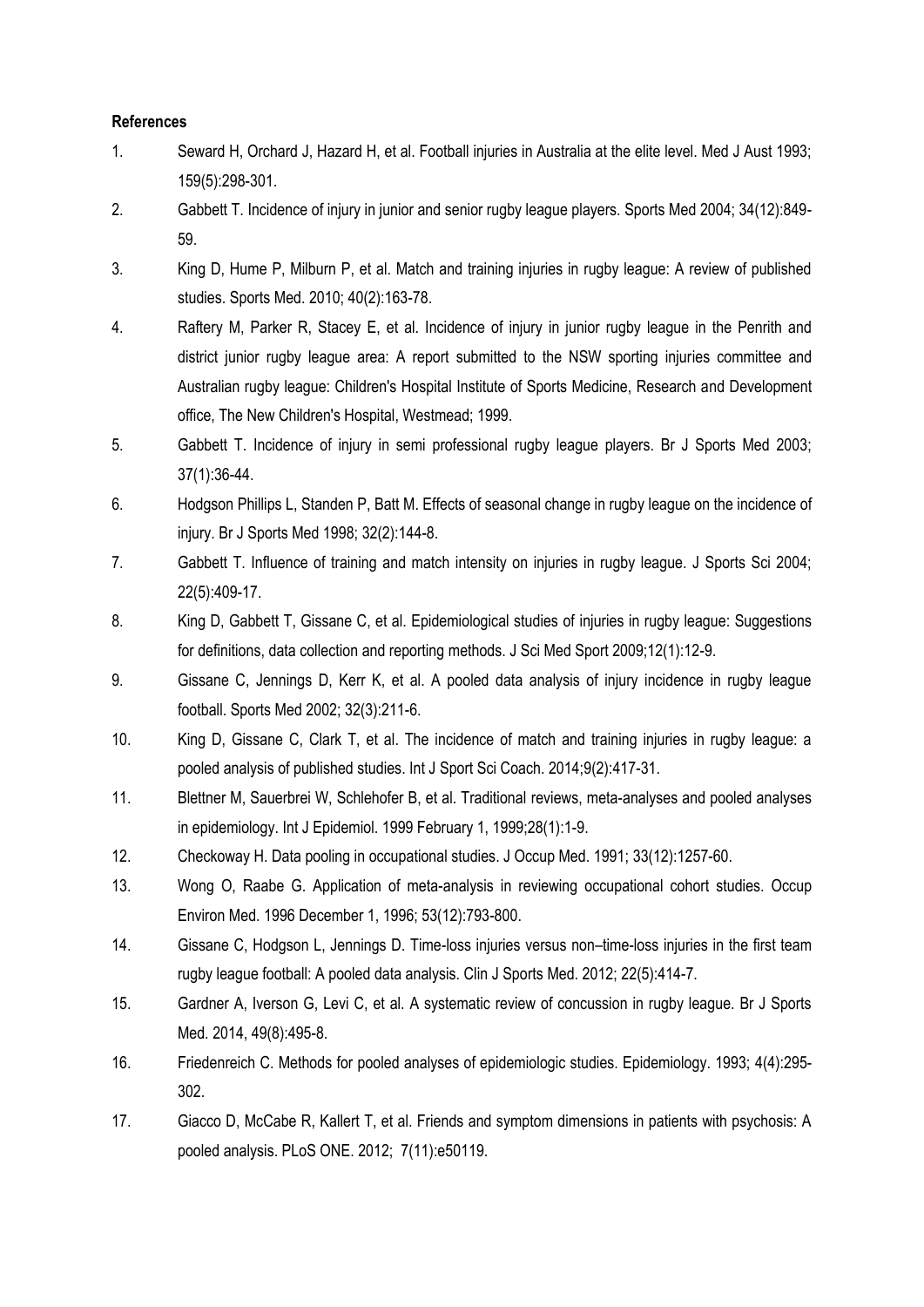## **References**

- <span id="page-12-0"></span>1. Seward H, Orchard J, Hazard H, et al. Football injuries in Australia at the elite level. Med J Aust 1993; 159(5):298-301.
- <span id="page-12-1"></span>2. Gabbett T. Incidence of injury in junior and senior rugby league players. Sports Med 2004; 34(12):849- 59.
- <span id="page-12-2"></span>3. King D, Hume P, Milburn P, et al. Match and training injuries in rugby league: A review of published studies. Sports Med. 2010; 40(2):163-78.
- <span id="page-12-3"></span>4. Raftery M, Parker R, Stacey E, et al. Incidence of injury in junior rugby league in the Penrith and district junior rugby league area: A report submitted to the NSW sporting injuries committee and Australian rugby league: Children's Hospital Institute of Sports Medicine, Research and Development office, The New Children's Hospital, Westmead; 1999.
- <span id="page-12-4"></span>5. Gabbett T. Incidence of injury in semi professional rugby league players. Br J Sports Med 2003; 37(1):36-44.
- <span id="page-12-5"></span>6. Hodgson Phillips L, Standen P, Batt M. Effects of seasonal change in rugby league on the incidence of injury. Br J Sports Med 1998; 32(2):144-8.
- <span id="page-12-6"></span>7. Gabbett T. Influence of training and match intensity on injuries in rugby league. J Sports Sci 2004; 22(5):409-17.
- <span id="page-12-7"></span>8. King D, Gabbett T, Gissane C, et al. Epidemiological studies of injuries in rugby league: Suggestions for definitions, data collection and reporting methods. J Sci Med Sport 2009;12(1):12-9.
- <span id="page-12-8"></span>9. Gissane C, Jennings D, Kerr K, et al. A pooled data analysis of injury incidence in rugby league football. Sports Med 2002; 32(3):211-6.
- <span id="page-12-9"></span>10. King D, Gissane C, Clark T, et al. The incidence of match and training injuries in rugby league: a pooled analysis of published studies. Int J Sport Sci Coach. 2014;9(2):417-31.
- <span id="page-12-10"></span>11. Blettner M, Sauerbrei W, Schlehofer B, et al. Traditional reviews, meta-analyses and pooled analyses in epidemiology. Int J Epidemiol. 1999 February 1, 1999;28(1):1-9.
- <span id="page-12-11"></span>12. Checkoway H. Data pooling in occupational studies. J Occup Med. 1991; 33(12):1257-60.
- 13. Wong O, Raabe G. Application of meta-analysis in reviewing occupational cohort studies. Occup Environ Med. 1996 December 1, 1996; 53(12):793-800.
- <span id="page-12-12"></span>14. Gissane C, Hodgson L, Jennings D. Time-loss injuries versus non–time-loss injuries in the first team rugby league football: A pooled data analysis. Clin J Sports Med. 2012; 22(5):414-7.
- <span id="page-12-13"></span>15. Gardner A, Iverson G, Levi C, et al. A systematic review of concussion in rugby league. Br J Sports Med. 2014, 49(8):495-8.
- <span id="page-12-14"></span>16. Friedenreich C. Methods for pooled analyses of epidemiologic studies. Epidemiology. 1993; 4(4):295- 302.
- <span id="page-12-15"></span>17. Giacco D, McCabe R, Kallert T, et al. Friends and symptom dimensions in patients with psychosis: A pooled analysis. PLoS ONE. 2012; 7(11):e50119.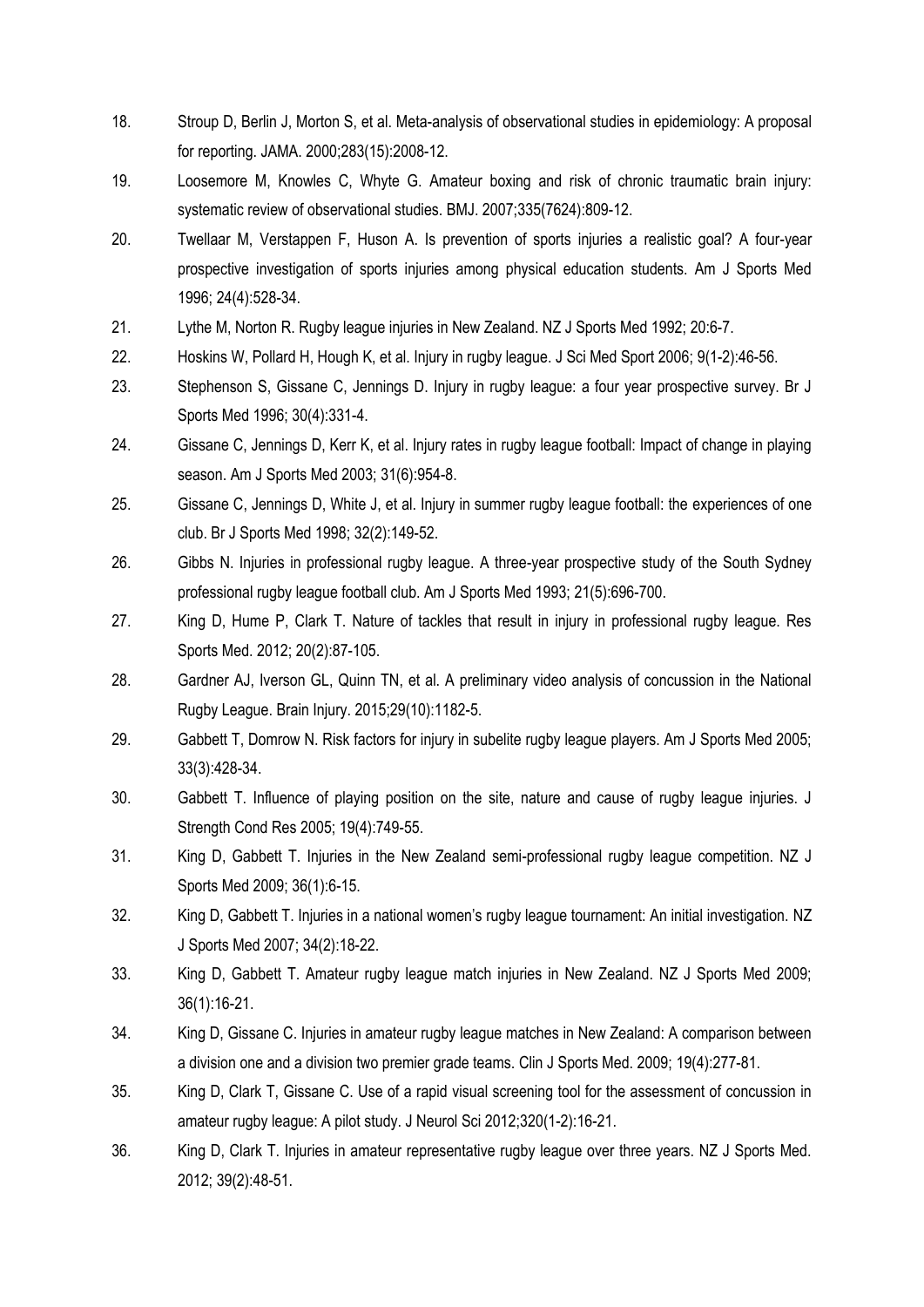- <span id="page-13-0"></span>18. Stroup D, Berlin J, Morton S, et al. Meta-analysis of observational studies in epidemiology: A proposal for reporting. JAMA. 2000;283(15):2008-12.
- <span id="page-13-1"></span>19. Loosemore M, Knowles C, Whyte G. Amateur boxing and risk of chronic traumatic brain injury: systematic review of observational studies. BMJ. 2007;335(7624):809-12.
- <span id="page-13-2"></span>20. Twellaar M, Verstappen F, Huson A. Is prevention of sports injuries a realistic goal? A four-year prospective investigation of sports injuries among physical education students. Am J Sports Med 1996; 24(4):528-34.
- <span id="page-13-3"></span>21. Lythe M, Norton R. Rugby league injuries in New Zealand. NZ J Sports Med 1992; 20:6-7.
- <span id="page-13-4"></span>22. Hoskins W, Pollard H, Hough K, et al. Injury in rugby league. J Sci Med Sport 2006; 9(1-2):46-56.
- <span id="page-13-5"></span>23. Stephenson S, Gissane C, Jennings D. Injury in rugby league: a four year prospective survey. Br J Sports Med 1996; 30(4):331-4.
- <span id="page-13-11"></span>24. Gissane C, Jennings D, Kerr K, et al. Injury rates in rugby league football: Impact of change in playing season. Am J Sports Med 2003; 31(6):954-8.
- <span id="page-13-10"></span>25. Gissane C, Jennings D, White J, et al. Injury in summer rugby league football: the experiences of one club. Br J Sports Med 1998; 32(2):149-52.
- <span id="page-13-9"></span>26. Gibbs N. Injuries in professional rugby league. A three-year prospective study of the South Sydney professional rugby league football club. Am J Sports Med 1993; 21(5):696-700.
- <span id="page-13-17"></span>27. King D, Hume P, Clark T. Nature of tackles that result in injury in professional rugby league. Res Sports Med. 2012; 20(2):87-105.
- <span id="page-13-18"></span>28. Gardner AJ, Iverson GL, Quinn TN, et al. A preliminary video analysis of concussion in the National Rugby League. Brain Injury. 2015;29(10):1182-5.
- <span id="page-13-6"></span>29. Gabbett T, Domrow N. Risk factors for injury in subelite rugby league players. Am J Sports Med 2005; 33(3):428-34.
- <span id="page-13-12"></span>30. Gabbett T. Influence of playing position on the site, nature and cause of rugby league injuries. J Strength Cond Res 2005; 19(4):749-55.
- <span id="page-13-14"></span>31. King D, Gabbett T. Injuries in the New Zealand semi-professional rugby league competition. NZ J Sports Med 2009; 36(1):6-15.
- <span id="page-13-7"></span>32. King D, Gabbett T. Injuries in a national women's rugby league tournament: An initial investigation. NZ J Sports Med 2007; 34(2):18-22.
- <span id="page-13-8"></span>33. King D, Gabbett T. Amateur rugby league match injuries in New Zealand. NZ J Sports Med 2009; 36(1):16-21.
- <span id="page-13-13"></span>34. King D, Gissane C. Injuries in amateur rugby league matches in New Zealand: A comparison between a division one and a division two premier grade teams. Clin J Sports Med. 2009; 19(4):277-81.
- <span id="page-13-16"></span>35. King D, Clark T, Gissane C. Use of a rapid visual screening tool for the assessment of concussion in amateur rugby league: A pilot study. J Neurol Sci 2012;320(1-2):16-21.
- <span id="page-13-15"></span>36. King D, Clark T. Injuries in amateur representative rugby league over three years. NZ J Sports Med. 2012; 39(2):48-51.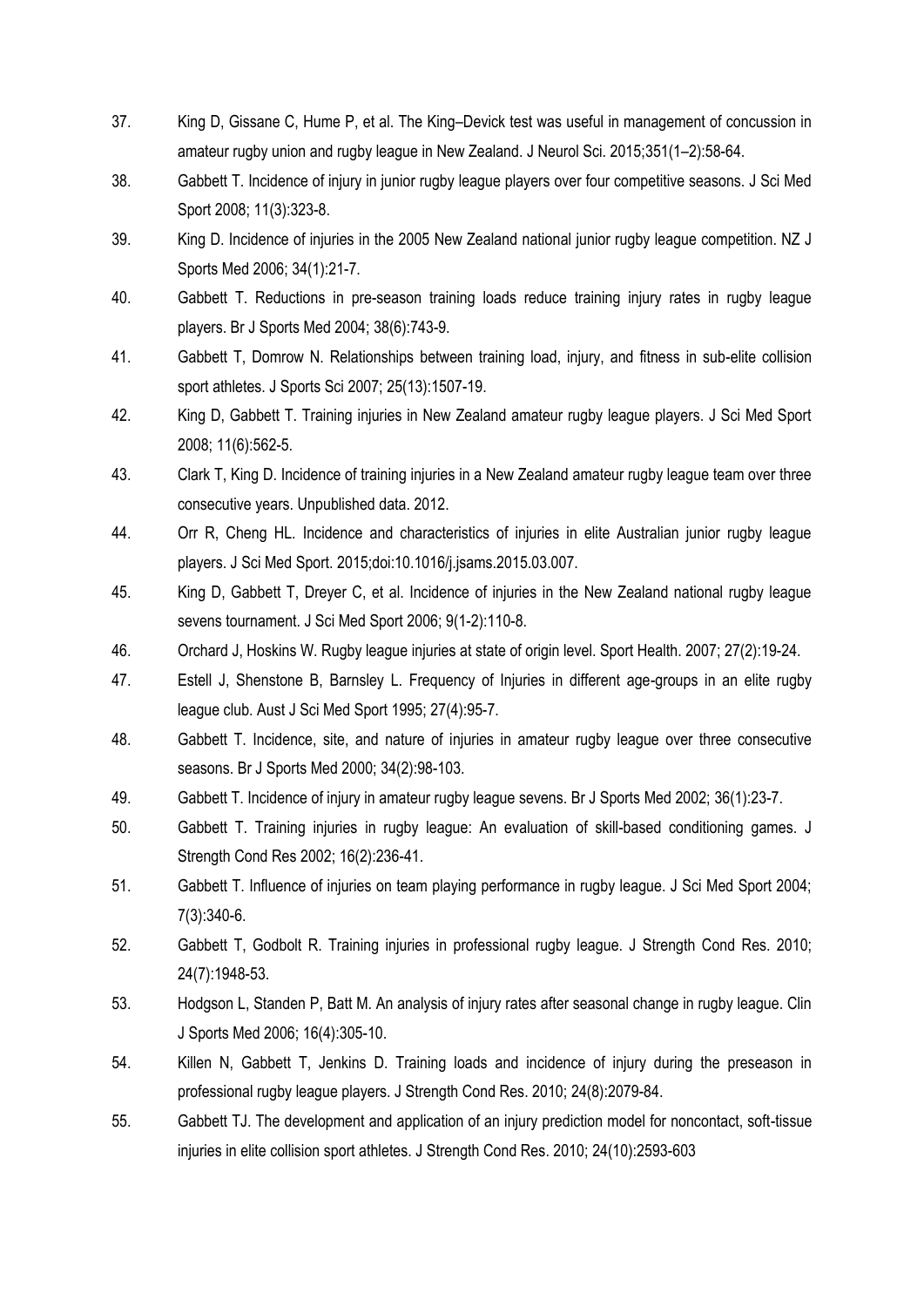- <span id="page-14-9"></span>37. King D, Gissane C, Hume P, et al. The King–Devick test was useful in management of concussion in amateur rugby union and rugby league in New Zealand. J Neurol Sci. 2015;351(1–2):58-64.
- <span id="page-14-5"></span>38. Gabbett T. Incidence of injury in junior rugby league players over four competitive seasons. J Sci Med Sport 2008; 11(3):323-8.
- <span id="page-14-6"></span>39. King D. Incidence of injuries in the 2005 New Zealand national junior rugby league competition. NZ J Sports Med 2006; 34(1):21-7.
- <span id="page-14-0"></span>40. Gabbett T. Reductions in pre-season training loads reduce training injury rates in rugby league players. Br J Sports Med 2004; 38(6):743-9.
- <span id="page-14-2"></span>41. Gabbett T, Domrow N. Relationships between training load, injury, and fitness in sub-elite collision sport athletes. J Sports Sci 2007; 25(13):1507-19.
- <span id="page-14-3"></span>42. King D, Gabbett T. Training injuries in New Zealand amateur rugby league players. J Sci Med Sport 2008; 11(6):562-5.
- <span id="page-14-4"></span>43. Clark T, King D. Incidence of training injuries in a New Zealand amateur rugby league team over three consecutive years. Unpublished data. 2012.
- <span id="page-14-1"></span>44. Orr R, Cheng HL. Incidence and characteristics of injuries in elite Australian junior rugby league players. J Sci Med Sport. 2015;doi:10.1016/j.jsams.2015.03.007.
- <span id="page-14-7"></span>45. King D, Gabbett T, Dreyer C, et al. Incidence of injuries in the New Zealand national rugby league sevens tournament. J Sci Med Sport 2006; 9(1-2):110-8.
- <span id="page-14-8"></span>46. Orchard J, Hoskins W. Rugby league injuries at state of origin level. Sport Health. 2007; 27(2):19-24.
- 47. Estell J, Shenstone B, Barnsley L. Frequency of Injuries in different age-groups in an elite rugby league club. Aust J Sci Med Sport 1995; 27(4):95-7.
- 48. Gabbett T. Incidence, site, and nature of injuries in amateur rugby league over three consecutive seasons. Br J Sports Med 2000; 34(2):98-103.
- 49. Gabbett T. Incidence of injury in amateur rugby league sevens. Br J Sports Med 2002; 36(1):23-7.
- 50. Gabbett T. Training injuries in rugby league: An evaluation of skill-based conditioning games. J Strength Cond Res 2002; 16(2):236-41.
- 51. Gabbett T. Influence of injuries on team playing performance in rugby league. J Sci Med Sport 2004; 7(3):340-6.
- 52. Gabbett T, Godbolt R. Training injuries in professional rugby league. J Strength Cond Res. 2010; 24(7):1948-53.
- 53. Hodgson L, Standen P, Batt M. An analysis of injury rates after seasonal change in rugby league. Clin J Sports Med 2006; 16(4):305-10.
- 54. Killen N, Gabbett T, Jenkins D. Training loads and incidence of injury during the preseason in professional rugby league players. J Strength Cond Res. 2010; 24(8):2079-84.
- 55. Gabbett TJ. The development and application of an injury prediction model for noncontact, soft-tissue injuries in elite collision sport athletes. J Strength Cond Res. 2010; 24(10):2593-603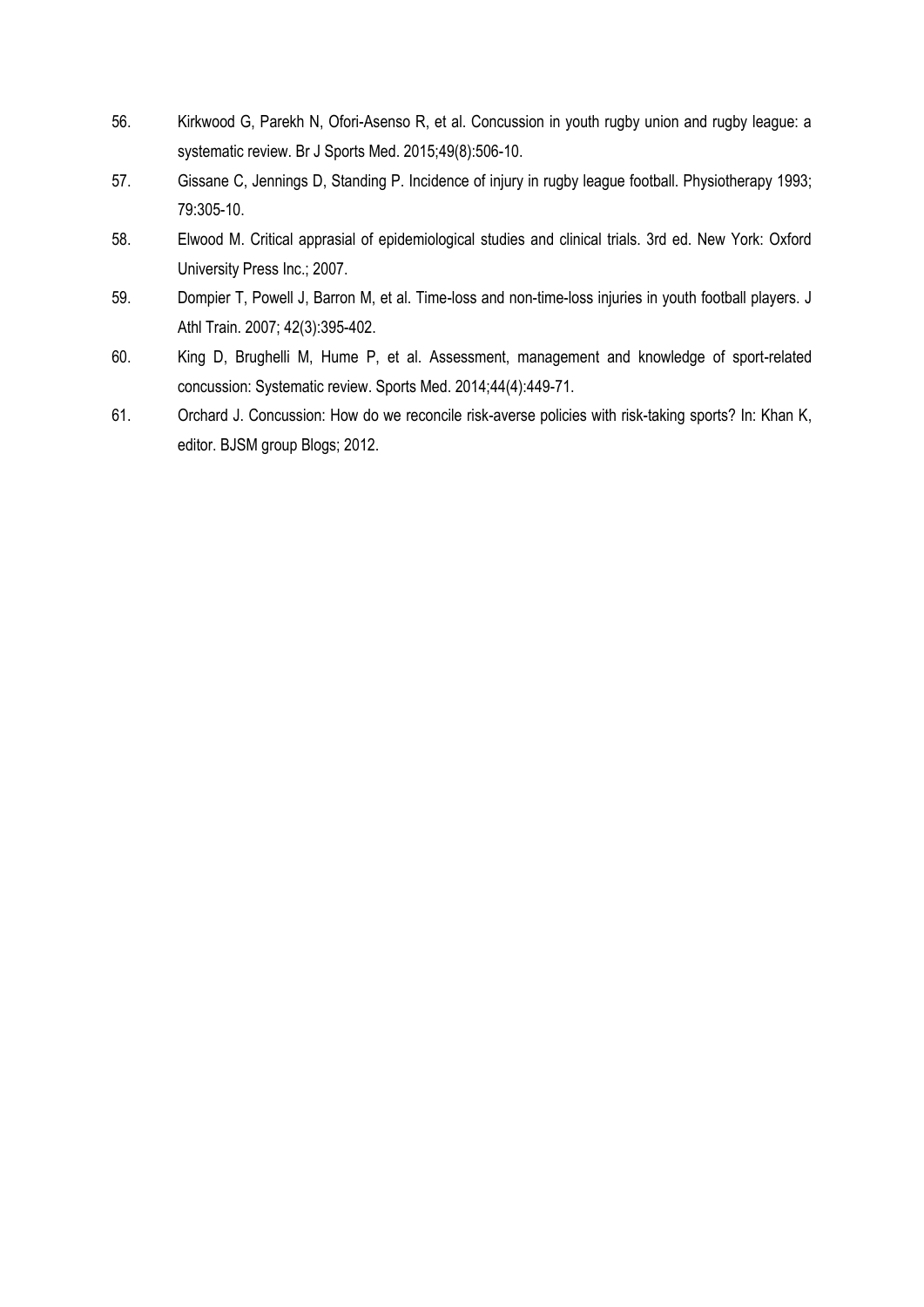- <span id="page-15-0"></span>56. Kirkwood G, Parekh N, Ofori-Asenso R, et al. Concussion in youth rugby union and rugby league: a systematic review. Br J Sports Med. 2015;49(8):506-10.
- <span id="page-15-1"></span>57. Gissane C, Jennings D, Standing P. Incidence of injury in rugby league football. Physiotherapy 1993; 79:305-10.
- <span id="page-15-2"></span>58. Elwood M. Critical apprasial of epidemiological studies and clinical trials. 3rd ed. New York: Oxford University Press Inc.; 2007.
- <span id="page-15-3"></span>59. Dompier T, Powell J, Barron M, et al. Time-loss and non-time-loss injuries in youth football players. J Athl Train. 2007; 42(3):395-402.
- <span id="page-15-4"></span>60. King D, Brughelli M, Hume P, et al. Assessment, management and knowledge of sport-related concussion: Systematic review. Sports Med. 2014;44(4):449-71.
- <span id="page-15-5"></span>61. Orchard J. Concussion: How do we reconcile risk-averse policies with risk-taking sports? In: Khan K, editor. BJSM group Blogs; 2012.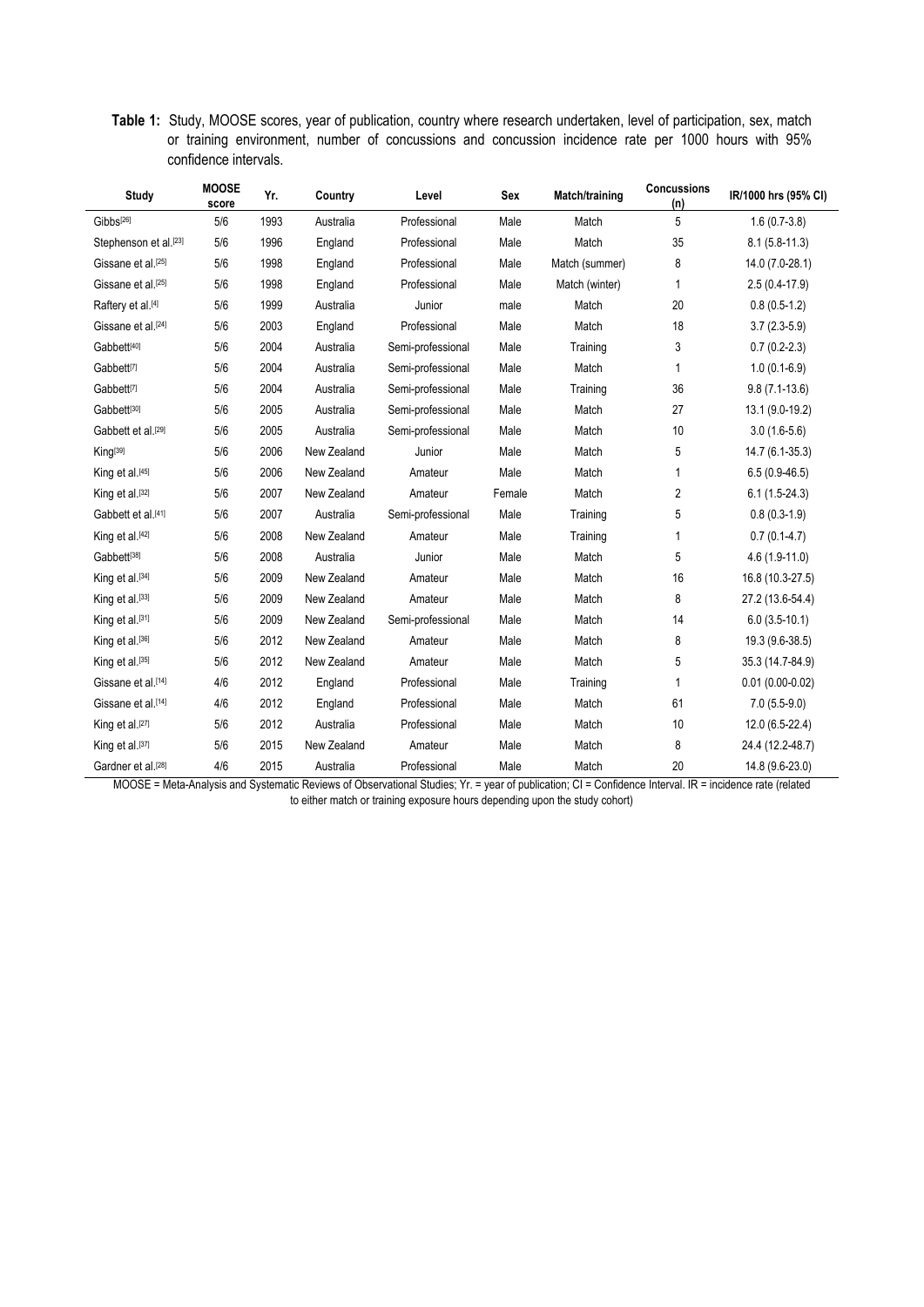**Table 1:** Study, MOOSE scores, year of publication, country where research undertaken, level of participation, sex, match or training environment, number of concussions and concussion incidence rate per 1000 hours with 95% confidence intervals.

| Study                          | <b>MOOSE</b><br>score | Yr.  | Country     | Level             | Sex    | Match/training | <b>Concussions</b><br>(n) | IR/1000 hrs (95% CI) |
|--------------------------------|-----------------------|------|-------------|-------------------|--------|----------------|---------------------------|----------------------|
| Gibbs <sup>[26]</sup>          | 5/6                   | 1993 | Australia   | Professional      | Male   | Match          | 5                         | $1.6(0.7-3.8)$       |
| Stephenson et al.[23]          | 5/6                   | 1996 | England     | Professional      | Male   | Match          | 35                        | $8.1(5.8-11.3)$      |
| Gissane et al. <sup>[25]</sup> | 5/6                   | 1998 | England     | Professional      | Male   | Match (summer) | 8                         | 14.0 (7.0-28.1)      |
| Gissane et al. <sup>[25]</sup> | 5/6                   | 1998 | England     | Professional      | Male   | Match (winter) | 1                         | $2.5(0.4-17.9)$      |
| Raftery et al.[4]              | 5/6                   | 1999 | Australia   | Junior            | male   | Match          | 20                        | $0.8(0.5-1.2)$       |
| Gissane et al. <sup>[24]</sup> | 5/6                   | 2003 | England     | Professional      | Male   | Match          | 18                        | $3.7(2.3-5.9)$       |
| Gabbett[40]                    | 5/6                   | 2004 | Australia   | Semi-professional | Male   | Training       | 3                         | $0.7(0.2-2.3)$       |
| Gabbett <sup>[7]</sup>         | 5/6                   | 2004 | Australia   | Semi-professional | Male   | Match          | 1                         | $1.0(0.1-6.9)$       |
| Gabbett <sup>[7]</sup>         | 5/6                   | 2004 | Australia   | Semi-professional | Male   | Training       | 36                        | $9.8(7.1-13.6)$      |
| Gabbett[30]                    | 5/6                   | 2005 | Australia   | Semi-professional | Male   | Match          | 27                        | 13.1 (9.0-19.2)      |
| Gabbett et al. <sup>[29]</sup> | 5/6                   | 2005 | Australia   | Semi-professional | Male   | Match          | 10                        | $3.0(1.6-5.6)$       |
| King[39]                       | 5/6                   | 2006 | New Zealand | Junior            | Male   | Match          | 5                         | 14.7 (6.1-35.3)      |
| King et al.[45]                | 5/6                   | 2006 | New Zealand | Amateur           | Male   | Match          | 1                         | $6.5(0.9-46.5)$      |
| King et al.[32]                | 5/6                   | 2007 | New Zealand | Amateur           | Female | Match          | $\overline{c}$            | $6.1(1.5-24.3)$      |
| Gabbett et al. <sup>[41]</sup> | 5/6                   | 2007 | Australia   | Semi-professional | Male   | Training       | 5                         | $0.8(0.3-1.9)$       |
| King et al.[42]                | 5/6                   | 2008 | New Zealand | Amateur           | Male   | Training       | 1                         | $0.7(0.1-4.7)$       |
| Gabbett[38]                    | 5/6                   | 2008 | Australia   | Junior            | Male   | Match          | 5                         | $4.6(1.9-11.0)$      |
| King et al.[34]                | 5/6                   | 2009 | New Zealand | Amateur           | Male   | Match          | 16                        | 16.8 (10.3-27.5)     |
| King et al.[33]                | 5/6                   | 2009 | New Zealand | Amateur           | Male   | Match          | 8                         | 27.2 (13.6-54.4)     |
| King et al.[31]                | 5/6                   | 2009 | New Zealand | Semi-professional | Male   | Match          | 14                        | $6.0(3.5-10.1)$      |
| King et al.[36]                | 5/6                   | 2012 | New Zealand | Amateur           | Male   | Match          | 8                         | 19.3 (9.6-38.5)      |
| King et al.[35]                | 5/6                   | 2012 | New Zealand | Amateur           | Male   | Match          | 5                         | 35.3 (14.7-84.9)     |
| Gissane et al.[14]             | 4/6                   | 2012 | England     | Professional      | Male   | Training       | 1                         | $0.01(0.00-0.02)$    |
| Gissane et al. <sup>[14]</sup> | 4/6                   | 2012 | England     | Professional      | Male   | Match          | 61                        | $7.0(5.5-9.0)$       |
| King et al.[27]                | 5/6                   | 2012 | Australia   | Professional      | Male   | Match          | 10                        | 12.0 (6.5-22.4)      |
| King et al.[37]                | 5/6                   | 2015 | New Zealand | Amateur           | Male   | Match          | 8                         | 24.4 (12.2-48.7)     |
| Gardner et al.[28]             | 4/6                   | 2015 | Australia   | Professional      | Male   | Match          | 20                        | 14.8 (9.6-23.0)      |

MOOSE = Meta-Analysis and Systematic Reviews of Observational Studies; Yr. = year of publication; CI = Confidence Interval. IR = incidence rate (related to either match or training exposure hours depending upon the study cohort)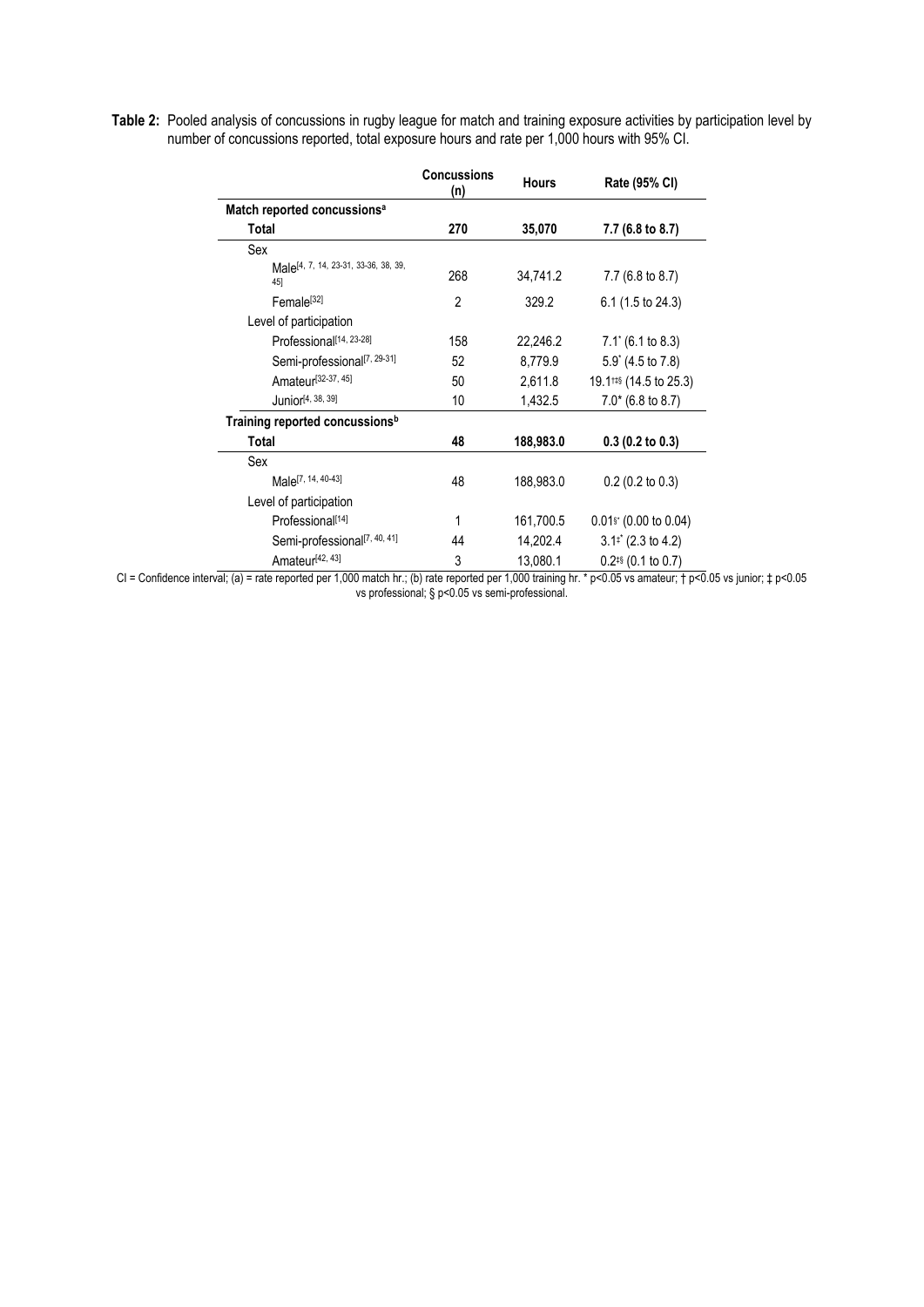**Table 2:** Pooled analysis of concussions in rugby league for match and training exposure activities by participation level by number of concussions reported, total exposure hours and rate per 1,000 hours with 95% CI.

|                                                         | <b>Concussions</b><br>(n) | <b>Hours</b> | Rate (95% CI)                      |  |
|---------------------------------------------------------|---------------------------|--------------|------------------------------------|--|
| Match reported concussions <sup>a</sup>                 |                           |              |                                    |  |
| Total                                                   | 270                       | 35,070       | 7.7 (6.8 to 8.7)                   |  |
| Sex                                                     |                           |              |                                    |  |
| Male <sup>[4, 7, 14, 23-31, 33-36, 38, 39,</sup><br>45] | 268                       | 34,741.2     | 7.7 (6.8 to 8.7)                   |  |
| Female <sup>[32]</sup>                                  | $\overline{2}$            | 329.2        | 6.1 (1.5 to 24.3)                  |  |
| Level of participation                                  |                           |              |                                    |  |
| Professional <sup>[14, 23-28]</sup>                     | 158                       | 22,246.2     | $7.1'$ (6.1 to 8.3)                |  |
| Semi-professional <sup>[7, 29-31]</sup>                 | 52                        | 8,779.9      | $5.9^{\circ}$ (4.5 to 7.8)         |  |
| Amateur <sup>[32-37, 45]</sup>                          | 50                        | 2,611.8      | 19.1 <sup>#\$</sup> (14.5 to 25.3) |  |
| Junior <sup>[4, 38, 39]</sup>                           | 10                        | 1,432.5      | $7.0*$ (6.8 to 8.7)                |  |
| Training reported concussions <sup>b</sup>              |                           |              |                                    |  |
| Total                                                   | 48                        | 188,983.0    | $0.3$ (0.2 to 0.3)                 |  |
| Sex                                                     |                           |              |                                    |  |
| Male <sup>[7, 14, 40-43]</sup>                          | 48                        | 188,983.0    | $0.2$ (0.2 to 0.3)                 |  |
| Level of participation                                  |                           |              |                                    |  |
| Professional <sup>[14]</sup>                            | 1                         | 161,700.5    | 0.01 <sup>s</sup> (0.00 to 0.04)   |  |
| Semi-professional <sup>[7, 40, 41]</sup>                | 44                        | 14,202.4     | $3.12$ (2.3 to 4.2)                |  |
| Amateur <sup>[42, 43]</sup>                             | 3                         | 13,080.1     | $0.2$ <sup>#§</sup> (0.1 to 0.7)   |  |

CI = Confidence interval; (a) = rate reported per 1,000 match hr.; (b) rate reported per 1,000 training hr. \* p<0.05 vs amateur; † p<0.05 vs junior; ‡ p<0.05 vs professional; § p<0.05 vs semi-professional.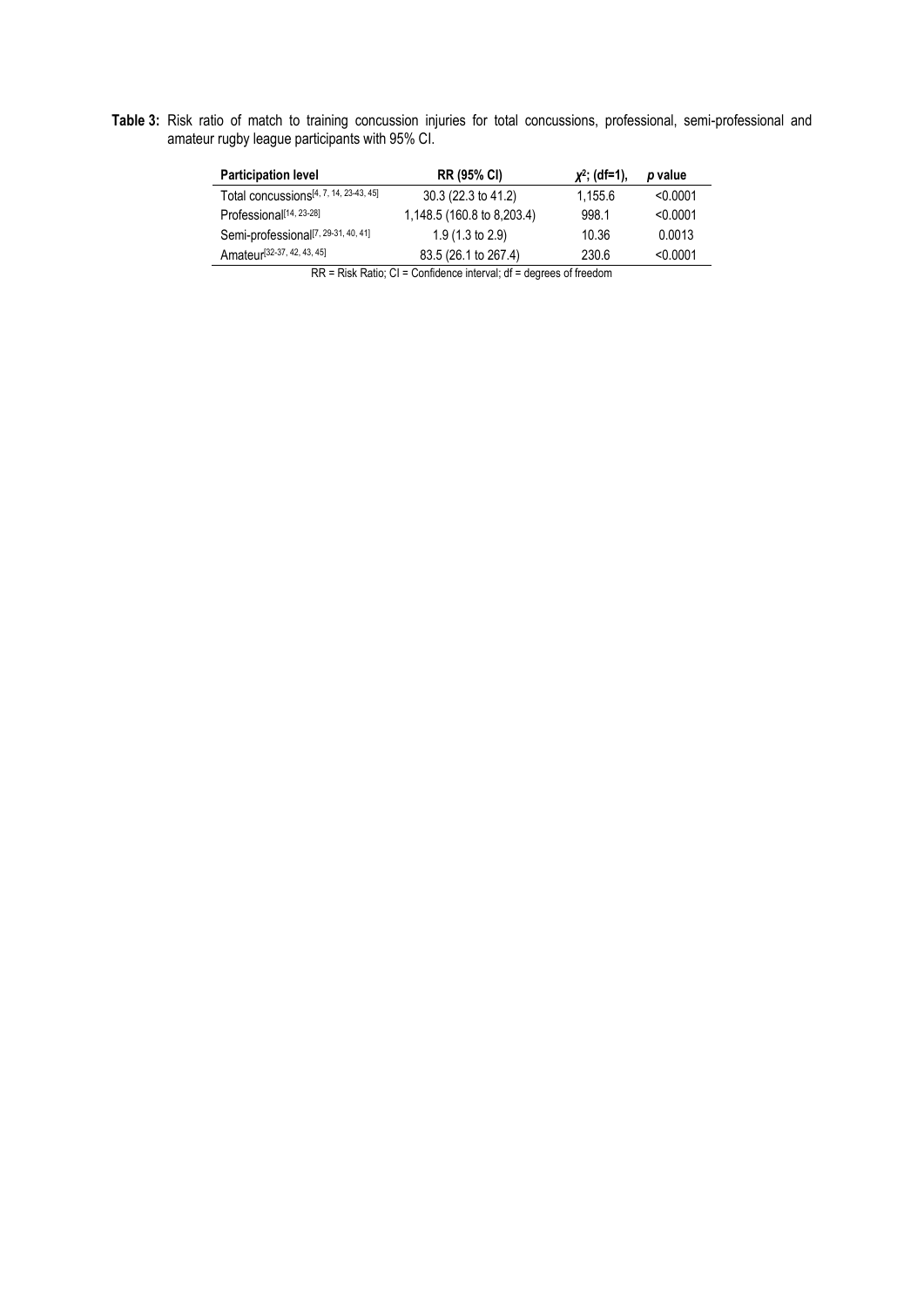**Table 3:** Risk ratio of match to training concussion injuries for total concussions, professional, semi-professional and amateur rugby league participants with 95% CI.

| <b>Participation level</b>                         | <b>RR (95% CI)</b>         | $x^2$ ; (df=1). | p value  |  |  |  |
|----------------------------------------------------|----------------------------|-----------------|----------|--|--|--|
| Total concussions <sup>[4, 7, 14, 23-43, 45]</sup> | 30.3 (22.3 to 41.2)        | 1.155.6         | < 0.0001 |  |  |  |
| Professional <sup>[14, 23-28]</sup>                | 1,148.5 (160.8 to 8,203.4) | 998.1           | < 0.0001 |  |  |  |
| Semi-professional <sup>[7, 29-31, 40, 41]</sup>    | $1.9(1.3 \text{ to } 2.9)$ | 10.36           | 0.0013   |  |  |  |
| Amateur <sup>[32-37, 42, 43, 45]</sup>             | 83.5 (26.1 to 267.4)       | 230.6           | < 0.0001 |  |  |  |
| nn n'inis al Acchied ann in ice a feach.           |                            |                 |          |  |  |  |

RR = Risk Ratio; CI = Confidence interval; df = degrees of freedom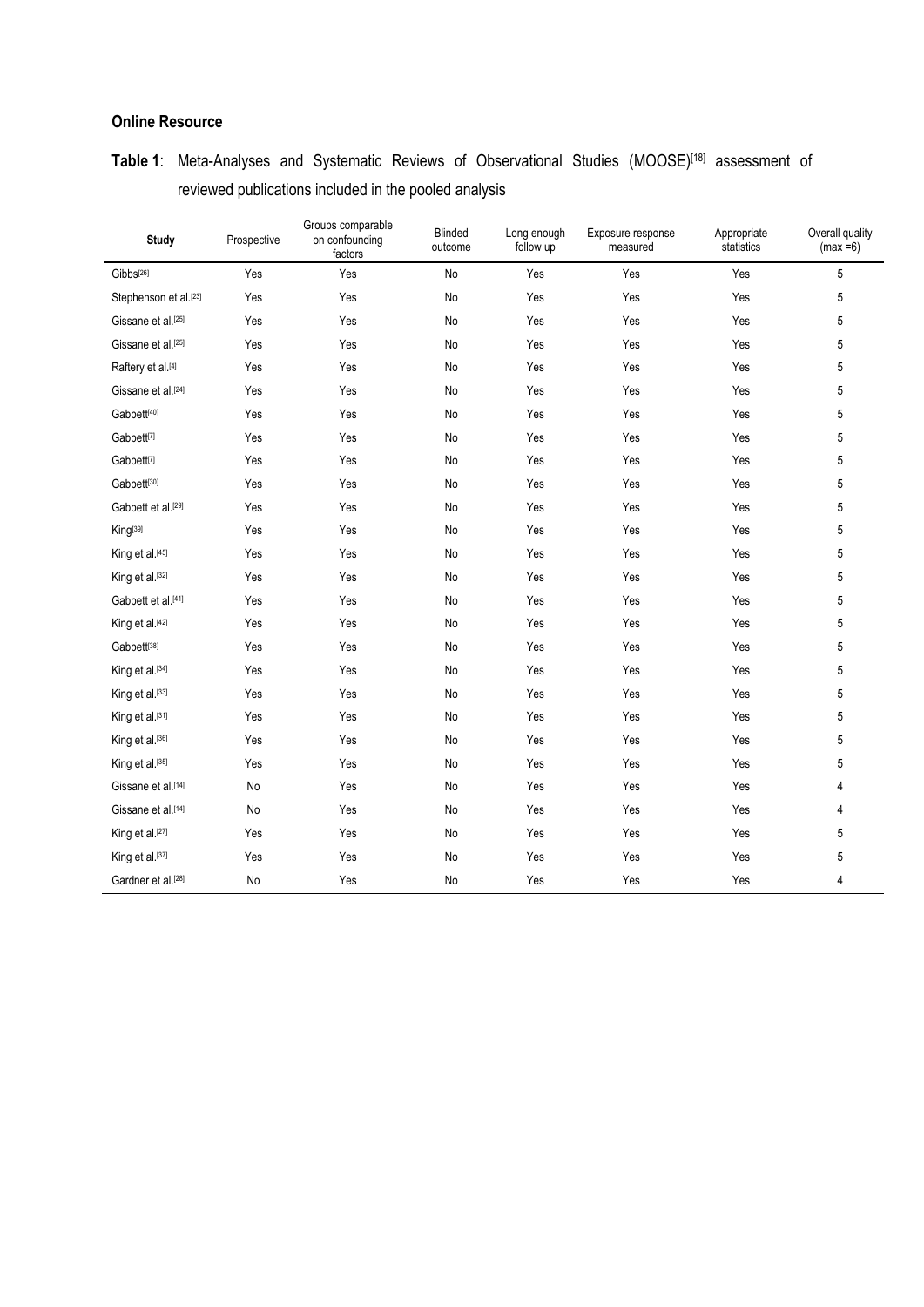## **Online Resource**

| <b>Study</b>                   | Prospective | Groups comparable<br>on confounding<br>factors | <b>Blinded</b><br>outcome | Long enough<br>follow up | Exposure response<br>measured | Appropriate<br>statistics | Overall quality<br>$(max = 6)$ |
|--------------------------------|-------------|------------------------------------------------|---------------------------|--------------------------|-------------------------------|---------------------------|--------------------------------|
| Gibbs <sup>[26]</sup>          | Yes         | Yes                                            | <b>No</b>                 | Yes                      | Yes                           | Yes                       | 5                              |
| Stephenson et al.[23]          | Yes         | Yes                                            | No                        | Yes                      | Yes                           | Yes                       | 5                              |
| Gissane et al.[25]             | Yes         | Yes                                            | No                        | Yes                      | Yes                           | Yes                       | 5                              |
| Gissane et al. <sup>[25]</sup> | Yes         | Yes                                            | No                        | Yes                      | Yes                           | Yes                       | 5                              |
| Raftery et al.[4]              | Yes         | Yes                                            | No                        | Yes                      | Yes                           | Yes                       | 5                              |
| Gissane et al. <sup>[24]</sup> | Yes         | Yes                                            | No                        | Yes                      | Yes                           | Yes                       | 5                              |
| Gabbett[40]                    | Yes         | Yes                                            | No                        | Yes                      | Yes                           | Yes                       | 5                              |
| Gabbett[7]                     | Yes         | Yes                                            | No                        | Yes                      | Yes                           | Yes                       | 5                              |
| Gabbett <sup>[7]</sup>         | Yes         | Yes                                            | No                        | Yes                      | Yes                           | Yes                       | 5                              |
| Gabbett[30]                    | Yes         | Yes                                            | No                        | Yes                      | Yes                           | Yes                       | 5                              |
| Gabbett et al.[29]             | Yes         | Yes                                            | No                        | Yes                      | Yes                           | Yes                       | 5                              |
| King <sup>[39]</sup>           | Yes         | Yes                                            | No                        | Yes                      | Yes                           | Yes                       | 5                              |
| King et al.[45]                | Yes         | Yes                                            | No                        | Yes                      | Yes                           | Yes                       | 5                              |
| King et al.[32]                | Yes         | Yes                                            | No                        | Yes                      | Yes                           | Yes                       | 5                              |
| Gabbett et al.[41]             | Yes         | Yes                                            | No                        | Yes                      | Yes                           | Yes                       | 5                              |
| King et al.[42]                | Yes         | Yes                                            | No                        | Yes                      | Yes                           | Yes                       | 5                              |
| Gabbett[38]                    | Yes         | Yes                                            | No                        | Yes                      | Yes                           | Yes                       | 5                              |
| King et al.[34]                | Yes         | Yes                                            | No                        | Yes                      | Yes                           | Yes                       | 5                              |
| King et al.[33]                | Yes         | Yes                                            | No                        | Yes                      | Yes                           | Yes                       | 5                              |
| King et al.[31]                | Yes         | Yes                                            | No                        | Yes                      | Yes                           | Yes                       | 5                              |
| King et al.[36]                | Yes         | Yes                                            | No                        | Yes                      | Yes                           | Yes                       | 5                              |
| King et al.[35]                | Yes         | Yes                                            | No                        | Yes                      | Yes                           | Yes                       | 5                              |
| Gissane et al.[14]             | No          | Yes                                            | No                        | Yes                      | Yes                           | Yes                       | 4                              |
| Gissane et al.[14]             | No          | Yes                                            | No                        | Yes                      | Yes                           | Yes                       | 4                              |
| King et al.[27]                | Yes         | Yes                                            | No                        | Yes                      | Yes                           | Yes                       | 5                              |
| King et al.[37]                | Yes         | Yes                                            | No                        | Yes                      | Yes                           | Yes                       | 5                              |
| Gardner et al. <sup>[28]</sup> | No          | Yes                                            | No                        | Yes                      | Yes                           | Yes                       | $\overline{4}$                 |

## **Table 1**: Meta-Analyses and Systematic Reviews of Observational Studies (MOOSE)[\[18\]](#page-13-0) assessment of reviewed publications included in the pooled analysis